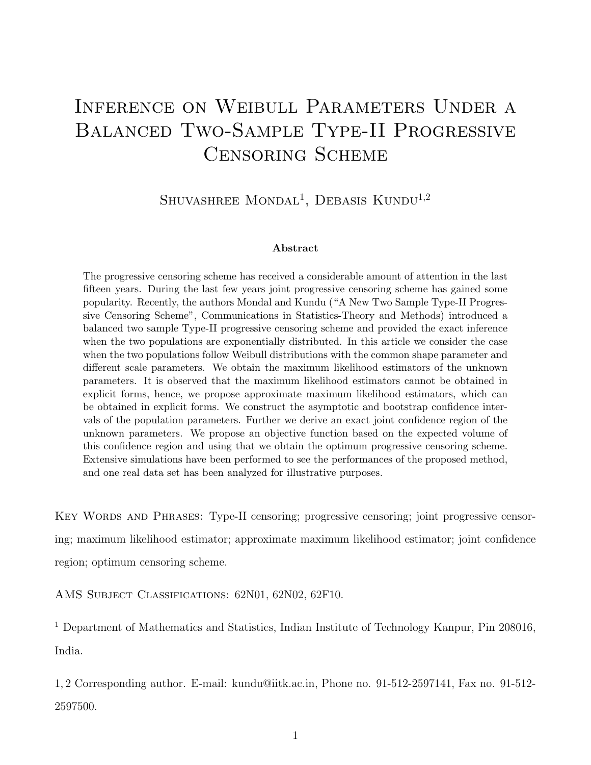# Inference on Weibull Parameters Under a Balanced Two-Sample Type-II Progressive Censoring Scheme

SHUVASHREE MONDAL<sup>1</sup>, DEBASIS KUNDU<sup>1,2</sup>

#### Abstract

The progressive censoring scheme has received a considerable amount of attention in the last fifteen years. During the last few years joint progressive censoring scheme has gained some popularity. Recently, the authors Mondal and Kundu ("A New Two Sample Type-II Progressive Censoring Scheme", Communications in Statistics-Theory and Methods) introduced a balanced two sample Type-II progressive censoring scheme and provided the exact inference when the two populations are exponentially distributed. In this article we consider the case when the two populations follow Weibull distributions with the common shape parameter and different scale parameters. We obtain the maximum likelihood estimators of the unknown parameters. It is observed that the maximum likelihood estimators cannot be obtained in explicit forms, hence, we propose approximate maximum likelihood estimators, which can be obtained in explicit forms. We construct the asymptotic and bootstrap confidence intervals of the population parameters. Further we derive an exact joint confidence region of the unknown parameters. We propose an objective function based on the expected volume of this confidence region and using that we obtain the optimum progressive censoring scheme. Extensive simulations have been performed to see the performances of the proposed method, and one real data set has been analyzed for illustrative purposes.

Key Words and Phrases: Type-II censoring; progressive censoring; joint progressive censoring; maximum likelihood estimator; approximate maximum likelihood estimator; joint confidence region; optimum censoring scheme.

AMS Subject Classifications: 62N01, 62N02, 62F10.

<sup>1</sup> Department of Mathematics and Statistics, Indian Institute of Technology Kanpur, Pin 208016, India.

1, 2 Corresponding author. E-mail: kundu@iitk.ac.in, Phone no. 91-512-2597141, Fax no. 91-512- 2597500.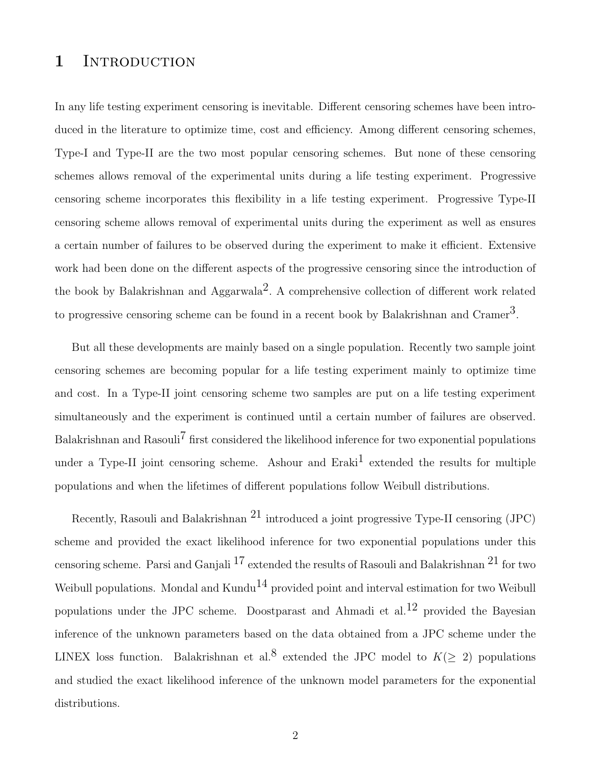### 1 INTRODUCTION

In any life testing experiment censoring is inevitable. Different censoring schemes have been introduced in the literature to optimize time, cost and efficiency. Among different censoring schemes, Type-I and Type-II are the two most popular censoring schemes. But none of these censoring schemes allows removal of the experimental units during a life testing experiment. Progressive censoring scheme incorporates this flexibility in a life testing experiment. Progressive Type-II censoring scheme allows removal of experimental units during the experiment as well as ensures a certain number of failures to be observed during the experiment to make it efficient. Extensive work had been done on the different aspects of the progressive censoring since the introduction of the book by Balakrishnan and Aggarwala<sup>2</sup>. A comprehensive collection of different work related to progressive censoring scheme can be found in a recent book by Balakrishnan and Cramer<sup>3</sup>.

But all these developments are mainly based on a single population. Recently two sample joint censoring schemes are becoming popular for a life testing experiment mainly to optimize time and cost. In a Type-II joint censoring scheme two samples are put on a life testing experiment simultaneously and the experiment is continued until a certain number of failures are observed. Balakrishnan and Rasouli<sup>7</sup> first considered the likelihood inference for two exponential populations under a Type-II joint censoring scheme. Ashour and  $Eraki<sup>1</sup>$  extended the results for multiple populations and when the lifetimes of different populations follow Weibull distributions.

Recently, Rasouli and Balakrishnan  $^{21}$  introduced a joint progressive Type-II censoring (JPC) scheme and provided the exact likelihood inference for two exponential populations under this censoring scheme. Parsi and Ganjali  $^{17}$  extended the results of Rasouli and Balakrishnan  $^{21}$  for two Weibull populations. Mondal and Kundu<sup>14</sup> provided point and interval estimation for two Weibull populations under the JPC scheme. Doostparast and Ahmadi et al.<sup>12</sup> provided the Bayesian inference of the unknown parameters based on the data obtained from a JPC scheme under the LINEX loss function. Balakrishnan et al.<sup>8</sup> extended the JPC model to  $K(\geq 2)$  populations and studied the exact likelihood inference of the unknown model parameters for the exponential distributions.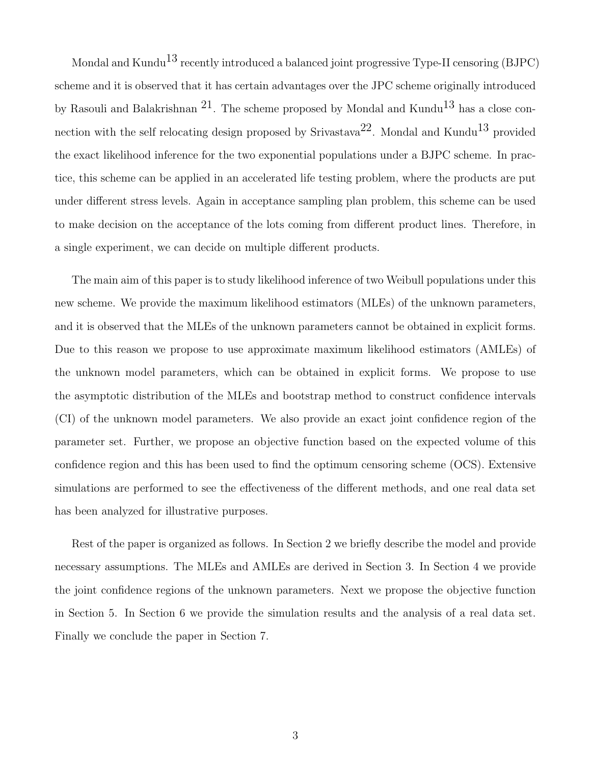Mondal and Kundu<sup>13</sup> recently introduced a balanced joint progressive Type-II censoring (BJPC) scheme and it is observed that it has certain advantages over the JPC scheme originally introduced by Rasouli and Balakrishnan  $21$ . The scheme proposed by Mondal and Kundu<sup>13</sup> has a close connection with the self relocating design proposed by Srivastava<sup>22</sup>. Mondal and Kundu<sup>13</sup> provided the exact likelihood inference for the two exponential populations under a BJPC scheme. In practice, this scheme can be applied in an accelerated life testing problem, where the products are put under different stress levels. Again in acceptance sampling plan problem, this scheme can be used to make decision on the acceptance of the lots coming from different product lines. Therefore, in a single experiment, we can decide on multiple different products.

The main aim of this paper is to study likelihood inference of two Weibull populations under this new scheme. We provide the maximum likelihood estimators (MLEs) of the unknown parameters, and it is observed that the MLEs of the unknown parameters cannot be obtained in explicit forms. Due to this reason we propose to use approximate maximum likelihood estimators (AMLEs) of the unknown model parameters, which can be obtained in explicit forms. We propose to use the asymptotic distribution of the MLEs and bootstrap method to construct confidence intervals (CI) of the unknown model parameters. We also provide an exact joint confidence region of the parameter set. Further, we propose an objective function based on the expected volume of this confidence region and this has been used to find the optimum censoring scheme (OCS). Extensive simulations are performed to see the effectiveness of the different methods, and one real data set has been analyzed for illustrative purposes.

Rest of the paper is organized as follows. In Section 2 we briefly describe the model and provide necessary assumptions. The MLEs and AMLEs are derived in Section 3. In Section 4 we provide the joint confidence regions of the unknown parameters. Next we propose the objective function in Section 5. In Section 6 we provide the simulation results and the analysis of a real data set. Finally we conclude the paper in Section 7.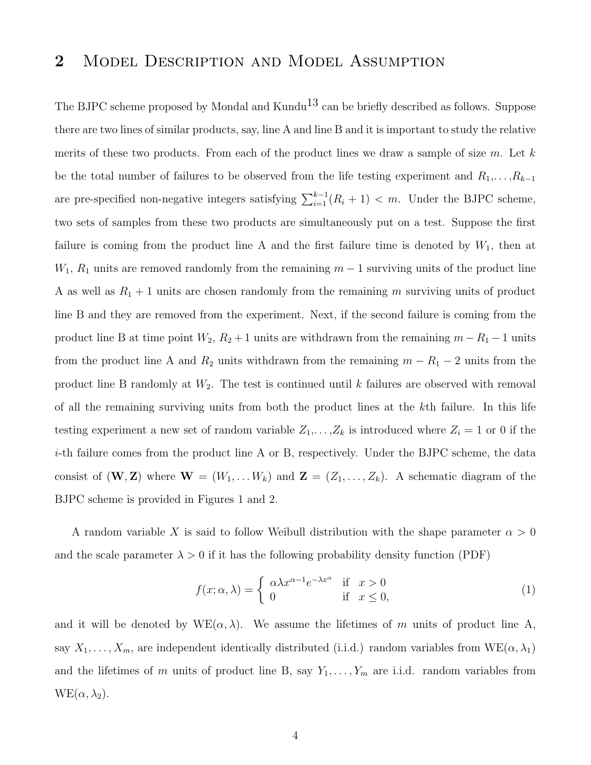### 2 MODEL DESCRIPTION AND MODEL ASSUMPTION

The BJPC scheme proposed by Mondal and Kundu<sup>13</sup> can be briefly described as follows. Suppose there are two lines of similar products, say, line A and line B and it is important to study the relative merits of these two products. From each of the product lines we draw a sample of size  $m$ . Let  $k$ be the total number of failures to be observed from the life testing experiment and  $R_1, \ldots, R_{k-1}$ are pre-specified non-negative integers satisfying  $\sum_{i=1}^{k-1} (R_i + 1) < m$ . Under the BJPC scheme, two sets of samples from these two products are simultaneously put on a test. Suppose the first failure is coming from the product line A and the first failure time is denoted by  $W_1$ , then at  $W_1, R_1$  units are removed randomly from the remaining  $m-1$  surviving units of the product line A as well as  $R_1 + 1$  units are chosen randomly from the remaining m surviving units of product line B and they are removed from the experiment. Next, if the second failure is coming from the product line B at time point  $W_2$ ,  $R_2 + 1$  units are withdrawn from the remaining  $m - R_1 - 1$  units from the product line A and  $R_2$  units withdrawn from the remaining  $m - R_1 - 2$  units from the product line B randomly at  $W_2$ . The test is continued until k failures are observed with removal of all the remaining surviving units from both the product lines at the kth failure. In this life testing experiment a new set of random variable  $Z_1, \ldots, Z_k$  is introduced where  $Z_i = 1$  or 0 if the i-th failure comes from the product line A or B, respectively. Under the BJPC scheme, the data consist of  $(\mathbf{W}, \mathbf{Z})$  where  $\mathbf{W} = (W_1, \dots, W_k)$  and  $\mathbf{Z} = (Z_1, \dots, Z_k)$ . A schematic diagram of the BJPC scheme is provided in Figures 1 and 2.

A random variable X is said to follow Weibull distribution with the shape parameter  $\alpha > 0$ and the scale parameter  $\lambda > 0$  if it has the following probability density function (PDF)

$$
f(x; \alpha, \lambda) = \begin{cases} \alpha \lambda x^{\alpha - 1} e^{-\lambda x^{\alpha}} & \text{if } x > 0 \\ 0 & \text{if } x \le 0, \end{cases}
$$
 (1)

and it will be denoted by  $WE(\alpha, \lambda)$ . We assume the lifetimes of m units of product line A, say  $X_1, \ldots, X_m$ , are independent identically distributed (i.i.d.) random variables from  $WE(\alpha, \lambda_1)$ and the lifetimes of m units of product line B, say  $Y_1, \ldots, Y_m$  are i.i.d. random variables from  $WE(\alpha, \lambda_2)$ .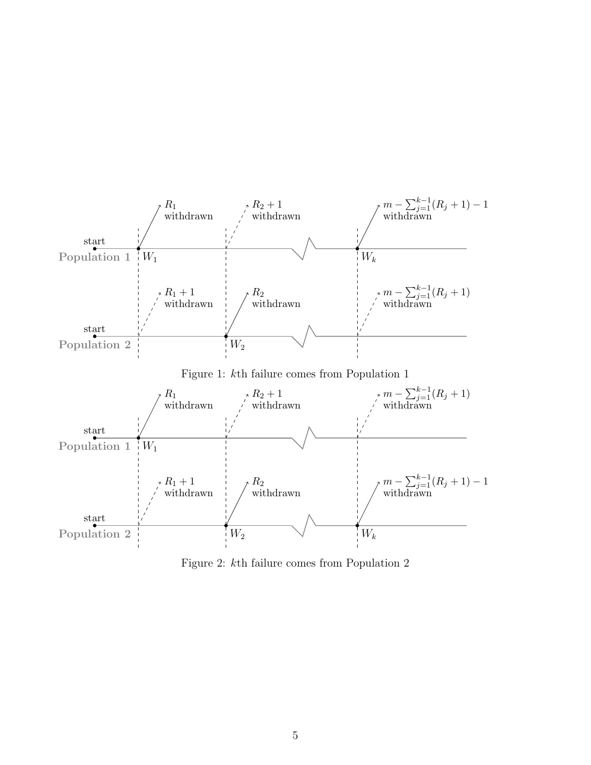

Figure 2: kth failure comes from Population 2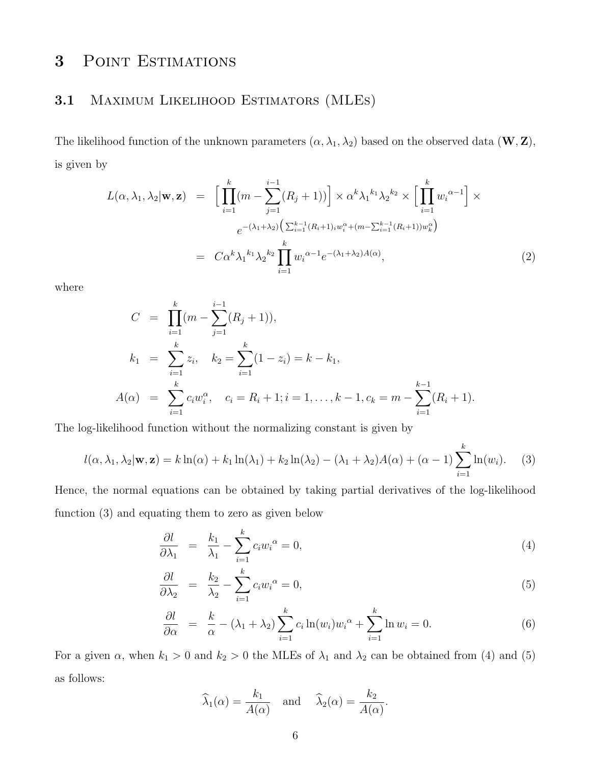# 3 POINT ESTIMATIONS

### 3.1 Maximum Likelihood Estimators (MLEs)

The likelihood function of the unknown parameters  $(\alpha, \lambda_1, \lambda_2)$  based on the observed data  $(\mathbf{W}, \mathbf{Z})$ , is given by

$$
L(\alpha, \lambda_1, \lambda_2 | \mathbf{w}, \mathbf{z}) = \left[ \prod_{i=1}^k (m - \sum_{j=1}^{i-1} (R_j + 1)) \right] \times \alpha^k \lambda_1^{k_1} \lambda_2^{k_2} \times \left[ \prod_{i=1}^k w_i^{\alpha - 1} \right] \times
$$
  
\n
$$
e^{-(\lambda_1 + \lambda_2) \left( \sum_{i=1}^{k-1} (R_i + 1)_{i} w_i^{\alpha} + (m - \sum_{i=1}^{k-1} (R_i + 1)) w_k^{\alpha} \right)}
$$
  
\n
$$
= C \alpha^k \lambda_1^{k_1} \lambda_2^{k_2} \prod_{i=1}^k w_i^{\alpha - 1} e^{-(\lambda_1 + \lambda_2) A(\alpha)},
$$
\n(2)

where

$$
C = \prod_{i=1}^{k} (m - \sum_{j=1}^{i-1} (R_j + 1)),
$$
  
\n
$$
k_1 = \sum_{i=1}^{k} z_i, \quad k_2 = \sum_{i=1}^{k} (1 - z_i) = k - k_1,
$$
  
\n
$$
A(\alpha) = \sum_{i=1}^{k} c_i w_i^{\alpha}, \quad c_i = R_i + 1; i = 1, ..., k - 1, c_k = m - \sum_{i=1}^{k-1} (R_i + 1).
$$

The log-likelihood function without the normalizing constant is given by

$$
l(\alpha, \lambda_1, \lambda_2 | \mathbf{w}, \mathbf{z}) = k \ln(\alpha) + k_1 \ln(\lambda_1) + k_2 \ln(\lambda_2) - (\lambda_1 + \lambda_2) A(\alpha) + (\alpha - 1) \sum_{i=1}^k \ln(w_i). \tag{3}
$$

Hence, the normal equations can be obtained by taking partial derivatives of the log-likelihood function (3) and equating them to zero as given below

$$
\frac{\partial l}{\partial \lambda_1} = \frac{k_1}{\lambda_1} - \sum_{i=1}^k c_i w_i^{\alpha} = 0,
$$
\n(4)

$$
\frac{\partial l}{\partial \lambda_2} = \frac{k_2}{\lambda_2} - \sum_{i=1}^k c_i w_i^{\alpha} = 0,\tag{5}
$$

$$
\frac{\partial l}{\partial \alpha} = \frac{k}{\alpha} - (\lambda_1 + \lambda_2) \sum_{i=1}^{k} c_i \ln(w_i) w_i^{\alpha} + \sum_{i=1}^{k} \ln w_i = 0. \tag{6}
$$

For a given  $\alpha$ , when  $k_1 > 0$  and  $k_2 > 0$  the MLEs of  $\lambda_1$  and  $\lambda_2$  can be obtained from (4) and (5) as follows:

$$
\widehat{\lambda}_1(\alpha) = \frac{k_1}{A(\alpha)}
$$
 and  $\widehat{\lambda}_2(\alpha) = \frac{k_2}{A(\alpha)}$ .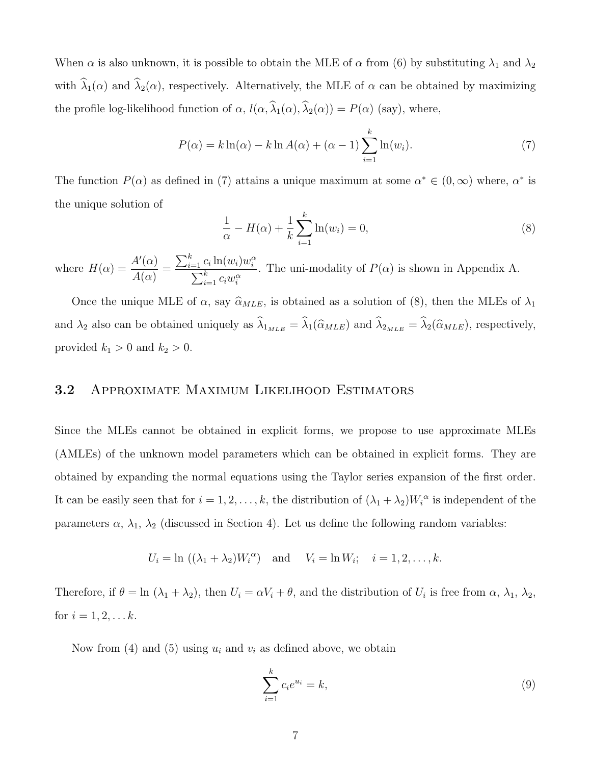When  $\alpha$  is also unknown, it is possible to obtain the MLE of  $\alpha$  from (6) by substituting  $\lambda_1$  and  $\lambda_2$ with  $\widehat{\lambda}_1(\alpha)$  and  $\widehat{\lambda}_2(\alpha)$ , respectively. Alternatively, the MLE of  $\alpha$  can be obtained by maximizing the profile log-likelihood function of  $\alpha$ ,  $l(\alpha, \hat{\lambda}_1(\alpha), \hat{\lambda}_2(\alpha)) = P(\alpha)$  (say), where,

$$
P(\alpha) = k \ln(\alpha) - k \ln A(\alpha) + (\alpha - 1) \sum_{i=1}^{k} \ln(w_i).
$$
 (7)

The function  $P(\alpha)$  as defined in (7) attains a unique maximum at some  $\alpha^* \in (0, \infty)$  where,  $\alpha^*$  is the unique solution of

$$
\frac{1}{\alpha} - H(\alpha) + \frac{1}{k} \sum_{i=1}^{k} \ln(w_i) = 0,
$$
\n(8)

where  $H(\alpha) = \frac{A'(\alpha)}{A(\alpha)}$  $A(\alpha)$ =  $\sum_{i=1}^k c_i \ln(w_i) w_i^{\alpha}$  $\sum$ i  $_{i=1}^k c_i w_i^{\alpha}$ . The uni-modality of  $P(\alpha)$  is shown in Appendix A.

Once the unique MLE of  $\alpha$ , say  $\widehat{\alpha}_{MLE}$ , is obtained as a solution of (8), then the MLEs of  $\lambda_1$ and  $\lambda_2$  also can be obtained uniquely as  $\widehat{\lambda}_{1_{MLE}} = \widehat{\lambda}_1(\widehat{\alpha}_{MLE})$  and  $\widehat{\lambda}_{2_{MLE}} = \widehat{\lambda}_2(\widehat{\alpha}_{MLE})$ , respectively, provided  $k_1 > 0$  and  $k_2 > 0$ .

### 3.2 Approximate Maximum Likelihood Estimators

Since the MLEs cannot be obtained in explicit forms, we propose to use approximate MLEs (AMLEs) of the unknown model parameters which can be obtained in explicit forms. They are obtained by expanding the normal equations using the Taylor series expansion of the first order. It can be easily seen that for  $i = 1, 2, ..., k$ , the distribution of  $(\lambda_1 + \lambda_2)W_i^{\alpha}$  is independent of the parameters  $\alpha$ ,  $\lambda_1$ ,  $\lambda_2$  (discussed in Section 4). Let us define the following random variables:

$$
U_i = \ln ((\lambda_1 + \lambda_2)W_i^{\alpha})
$$
 and  $V_i = \ln W_i$ ;  $i = 1, 2, ..., k$ .

Therefore, if  $\theta = \ln(\lambda_1 + \lambda_2)$ , then  $U_i = \alpha V_i + \theta$ , and the distribution of  $U_i$  is free from  $\alpha$ ,  $\lambda_1$ ,  $\lambda_2$ , for  $i = 1, 2, \dots k$ .

Now from (4) and (5) using  $u_i$  and  $v_i$  as defined above, we obtain

$$
\sum_{i=1}^{k} c_i e^{u_i} = k,
$$
\n(9)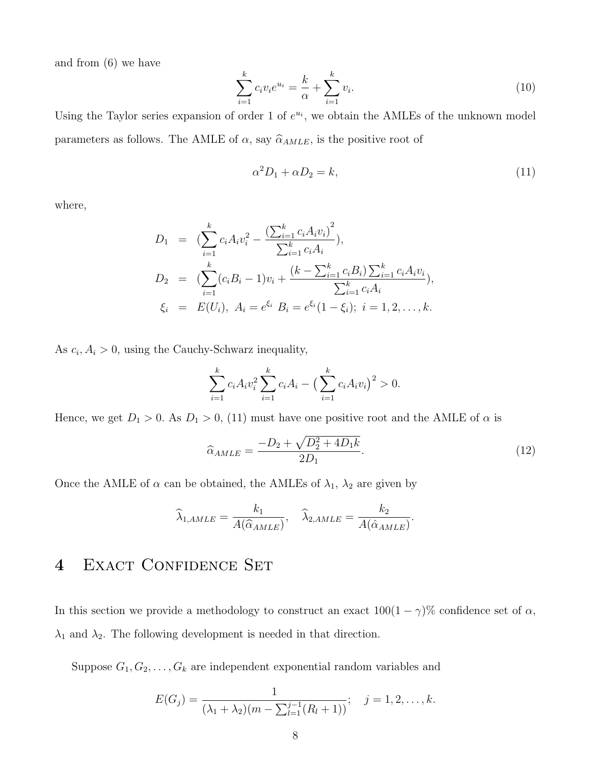and from (6) we have

$$
\sum_{i=1}^{k} c_i v_i e^{u_i} = \frac{k}{\alpha} + \sum_{i=1}^{k} v_i.
$$
 (10)

Using the Taylor series expansion of order 1 of  $e^{u_i}$ , we obtain the AMLEs of the unknown model parameters as follows. The AMLE of  $\alpha,$  say  $\widehat{\alpha}_{AMLE},$  is the positive root of

$$
\alpha^2 D_1 + \alpha D_2 = k,\tag{11}
$$

where,

$$
D_1 = \left(\sum_{i=1}^k c_i A_i v_i^2 - \frac{\left(\sum_{i=1}^k c_i A_i v_i\right)^2}{\sum_{i=1}^k c_i A_i}\right),
$$
  
\n
$$
D_2 = \left(\sum_{i=1}^k (c_i B_i - 1)v_i + \frac{(k - \sum_{i=1}^k c_i B_i) \sum_{i=1}^k c_i A_i v_i}{\sum_{i=1}^k c_i A_i}\right),
$$
  
\n
$$
\xi_i = E(U_i), A_i = e^{\xi_i} B_i = e^{\xi_i} (1 - \xi_i); i = 1, 2, ..., k.
$$

As  $c_i$ ,  $A_i > 0$ , using the Cauchy-Schwarz inequality,

$$
\sum_{i=1}^{k} c_i A_i v_i^2 \sum_{i=1}^{k} c_i A_i - \left(\sum_{i=1}^{k} c_i A_i v_i\right)^2 > 0.
$$

Hence, we get  $D_1 > 0$ . As  $D_1 > 0$ , (11) must have one positive root and the AMLE of  $\alpha$  is

$$
\hat{\alpha}_{AMLE} = \frac{-D_2 + \sqrt{D_2^2 + 4D_1k}}{2D_1}.
$$
\n(12)

Once the AMLE of  $\alpha$  can be obtained, the AMLEs of  $\lambda_1$ ,  $\lambda_2$  are given by

$$
\widehat{\lambda}_{1,AMLE} = \frac{k_1}{A(\widehat{\alpha}_{AMLE})}, \quad \widehat{\lambda}_{2,AMLE} = \frac{k_2}{A(\widehat{\alpha}_{AMLE})}.
$$

### 4 EXACT CONFIDENCE SET

In this section we provide a methodology to construct an exact  $100(1 - \gamma)\%$  confidence set of  $\alpha$ ,  $\lambda_1$  and  $\lambda_2$ . The following development is needed in that direction.

Suppose  $G_1, G_2, \ldots, G_k$  are independent exponential random variables and

$$
E(G_j) = \frac{1}{(\lambda_1 + \lambda_2)(m - \sum_{l=1}^{j-1} (R_l + 1))}; \quad j = 1, 2, ..., k.
$$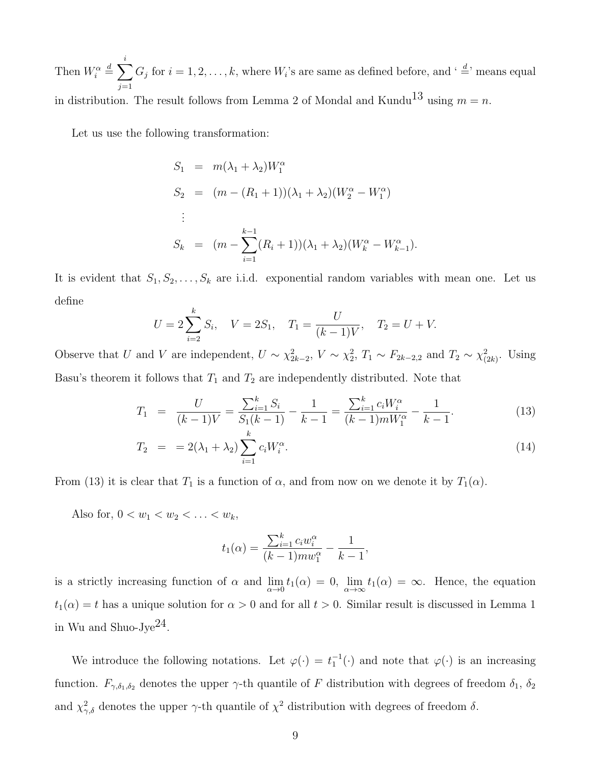Then  $W_i^{\alpha} \stackrel{d}{=} \sum$ i  $j=1$  $G_j$  for  $i = 1, 2, \ldots, k$ , where  $W_i$ 's are same as defined before, and  $\cdot \stackrel{d}{=} \cdot$  means equal in distribution. The result follows from Lemma 2 of Mondal and Kundu<sup>13</sup> using  $m = n$ .

Let us use the following transformation:

$$
S_1 = m(\lambda_1 + \lambda_2)W_1^{\alpha}
$$
  
\n
$$
S_2 = (m - (R_1 + 1))(\lambda_1 + \lambda_2)(W_2^{\alpha} - W_1^{\alpha})
$$
  
\n:  
\n
$$
S_k = (m - \sum_{i=1}^{k-1} (R_i + 1))(\lambda_1 + \lambda_2)(W_k^{\alpha} - W_{k-1}^{\alpha}).
$$

It is evident that  $S_1, S_2, \ldots, S_k$  are i.i.d. exponential random variables with mean one. Let us define

$$
U = 2\sum_{i=2}^{k} S_i, \quad V = 2S_1, \quad T_1 = \frac{U}{(k-1)V}, \quad T_2 = U + V.
$$

Observe that U and V are independent,  $U \sim \chi^2_{2k-2}$ ,  $V \sim \chi^2_{2}$ ,  $T_1 \sim F_{2k-2,2}$  and  $T_2 \sim \chi^2_{(2k)}$ . Using Basu's theorem it follows that  $T_1$  and  $T_2$  are independently distributed. Note that

$$
T_1 = \frac{U}{(k-1)V} = \frac{\sum_{i=1}^{k} S_i}{S_1(k-1)} - \frac{1}{k-1} = \frac{\sum_{i=1}^{k} c_i W_i^{\alpha}}{(k-1)mW_1^{\alpha}} - \frac{1}{k-1}.
$$
 (13)

$$
T_2 = 2(\lambda_1 + \lambda_2) \sum_{i=1}^{k} c_i W_i^{\alpha}.
$$
 (14)

From (13) it is clear that  $T_1$  is a function of  $\alpha$ , and from now on we denote it by  $T_1(\alpha)$ .

Also for,  $0 < w_1 < w_2 < \ldots < w_k$ ,

$$
t_1(\alpha) = \frac{\sum_{i=1}^{k} c_i w_i^{\alpha}}{(k-1) m w_1^{\alpha}} - \frac{1}{k-1},
$$

is a strictly increasing function of  $\alpha$  and  $\lim_{\alpha \to 0} t_1(\alpha) = 0$ ,  $\lim_{\alpha \to \infty} t_1(\alpha) = \infty$ . Hence, the equation  $t_1(\alpha) = t$  has a unique solution for  $\alpha > 0$  and for all  $t > 0$ . Similar result is discussed in Lemma 1 in Wu and Shuo-Jye $^{24}$ .

We introduce the following notations. Let  $\varphi(\cdot) = t_1^{-1}(\cdot)$  and note that  $\varphi(\cdot)$  is an increasing function.  $F_{\gamma,\delta_1,\delta_2}$  denotes the upper  $\gamma$ -th quantile of F distribution with degrees of freedom  $\delta_1$ ,  $\delta_2$ and  $\chi^2_{\gamma,\delta}$  denotes the upper  $\gamma$ -th quantile of  $\chi^2$  distribution with degrees of freedom  $\delta$ .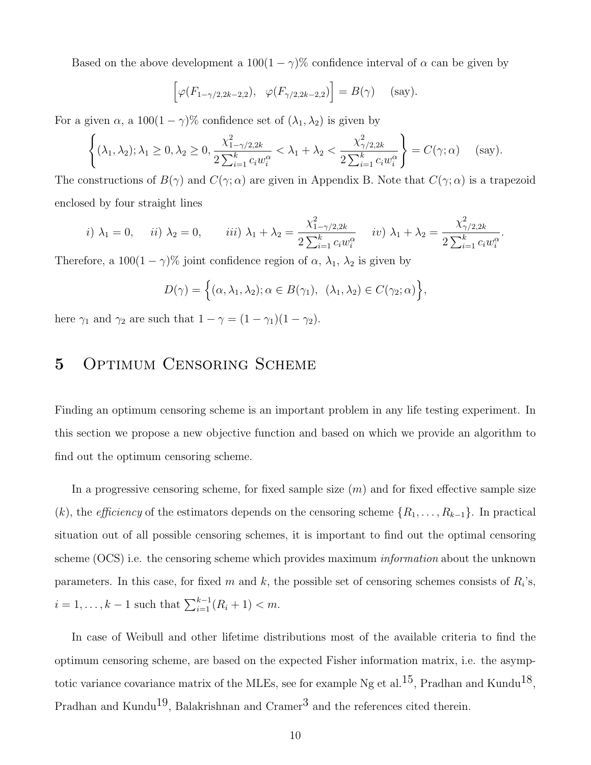Based on the above development a  $100(1 - \gamma)$ % confidence interval of  $\alpha$  can be given by

$$
\left[\varphi(F_{1-\gamma/2,2k-2,2}), \ \varphi(F_{\gamma/2,2k-2,2})\right] = B(\gamma) \quad \text{(say)}.
$$

For a given  $\alpha$ , a 100(1 –  $\gamma$ )% confidence set of  $(\lambda_1, \lambda_2)$  is given by

$$
\left\{(\lambda_1, \lambda_2); \lambda_1 \ge 0, \lambda_2 \ge 0, \frac{\chi^2_{1-\gamma/2,2k}}{2\sum_{i=1}^k c_i w_i^{\alpha}} < \lambda_1 + \lambda_2 < \frac{\chi^2_{\gamma/2,2k}}{2\sum_{i=1}^k c_i w_i^{\alpha}}\right\} = C(\gamma; \alpha) \quad \text{(say)}.
$$

The constructions of  $B(\gamma)$  and  $C(\gamma; \alpha)$  are given in Appendix B. Note that  $C(\gamma; \alpha)$  is a trapezoid enclosed by four straight lines

*i*) 
$$
\lambda_1 = 0
$$
, *ii*)  $\lambda_2 = 0$ , *iii*)  $\lambda_1 + \lambda_2 = \frac{\chi^2_{1-\gamma/2,2k}}{2\sum_{i=1}^k c_i w_i^{\alpha}}$  *iv*)  $\lambda_1 + \lambda_2 = \frac{\chi^2_{\gamma/2,2k}}{2\sum_{i=1}^k c_i w_i^{\alpha}}$ 

.

Therefore, a  $100(1 - \gamma)$ % joint confidence region of  $\alpha$ ,  $\lambda_1$ ,  $\lambda_2$  is given by

$$
D(\gamma) = \Big\{ (\alpha, \lambda_1, \lambda_2); \alpha \in B(\gamma_1), \ (\lambda_1, \lambda_2) \in C(\gamma_2; \alpha) \Big\},\
$$

here  $\gamma_1$  and  $\gamma_2$  are such that  $1 - \gamma = (1 - \gamma_1)(1 - \gamma_2)$ .

# 5 OPTIMUM CENSORING SCHEME

Finding an optimum censoring scheme is an important problem in any life testing experiment. In this section we propose a new objective function and based on which we provide an algorithm to find out the optimum censoring scheme.

In a progressive censoring scheme, for fixed sample size  $(m)$  and for fixed effective sample size (k), the *efficiency* of the estimators depends on the censoring scheme  $\{R_1, \ldots, R_{k-1}\}$ . In practical situation out of all possible censoring schemes, it is important to find out the optimal censoring scheme (OCS) i.e. the censoring scheme which provides maximum *information* about the unknown parameters. In this case, for fixed m and k, the possible set of censoring schemes consists of  $R_i$ 's,  $i = 1, \ldots, k - 1$  such that  $\sum_{i=1}^{k-1} (R_i + 1) < m$ .

In case of Weibull and other lifetime distributions most of the available criteria to find the optimum censoring scheme, are based on the expected Fisher information matrix, i.e. the asymptotic variance covariance matrix of the MLEs, see for example Ng et al.<sup>15</sup>, Pradhan and Kundu<sup>18</sup>, Pradhan and Kundu<sup>19</sup>, Balakrishnan and Cramer<sup>3</sup> and the references cited therein.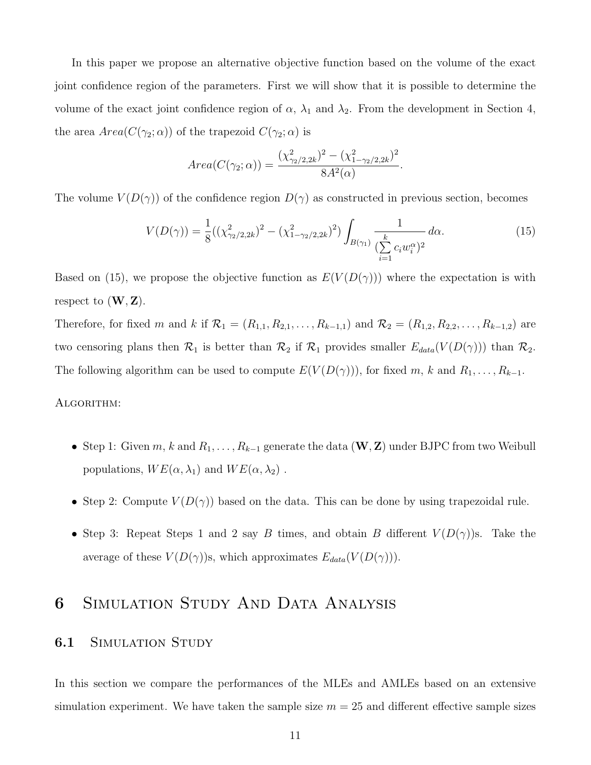In this paper we propose an alternative objective function based on the volume of the exact joint confidence region of the parameters. First we will show that it is possible to determine the volume of the exact joint confidence region of  $\alpha$ ,  $\lambda_1$  and  $\lambda_2$ . From the development in Section 4, the area  $Area(C(\gamma_2; \alpha))$  of the trapezoid  $C(\gamma_2; \alpha)$  is

$$
Area(C(\gamma_2; \alpha)) = \frac{(\chi^2_{\gamma_2/2, 2k})^2 - (\chi^2_{1-\gamma_2/2, 2k})^2}{8A^2(\alpha)}.
$$

The volume  $V(D(\gamma))$  of the confidence region  $D(\gamma)$  as constructed in previous section, becomes

$$
V(D(\gamma)) = \frac{1}{8}((\chi^2_{\gamma_2/2,2k})^2 - (\chi^2_{1-\gamma_2/2,2k})^2) \int_{B(\gamma_1)} \frac{1}{(\sum\limits_{i=1}^k c_i w_i^{\alpha})^2} d\alpha.
$$
 (15)

Based on (15), we propose the objective function as  $E(V(D(\gamma)))$  where the expectation is with respect to  $(\mathbf{W}, \mathbf{Z})$ .

Therefore, for fixed m and k if  $\mathcal{R}_1 = (R_{1,1}, R_{2,1}, \ldots, R_{k-1,1})$  and  $\mathcal{R}_2 = (R_{1,2}, R_{2,2}, \ldots, R_{k-1,2})$  are two censoring plans then  $\mathcal{R}_1$  is better than  $\mathcal{R}_2$  if  $\mathcal{R}_1$  provides smaller  $E_{data}(V(D(\gamma)))$  than  $\mathcal{R}_2$ . The following algorithm can be used to compute  $E(V(D(\gamma)))$ , for fixed m, k and  $R_1, \ldots, R_{k-1}$ .

#### Algorithm:

- Step 1: Given m, k and  $R_1, \ldots, R_{k-1}$  generate the data  $(\mathbf{W}, \mathbf{Z})$  under BJPC from two Weibull populations,  $WE(\alpha, \lambda_1)$  and  $WE(\alpha, \lambda_2)$ .
- Step 2: Compute  $V(D(\gamma))$  based on the data. This can be done by using trapezoidal rule.
- Step 3: Repeat Steps 1 and 2 say B times, and obtain B different  $V(D(\gamma))$ s. Take the average of these  $V(D(\gamma))$ s, which approximates  $E_{data}(V(D(\gamma)))$ .

### 6 Simulation Study And Data Analysis

### **6.1** SIMULATION STUDY

In this section we compare the performances of the MLEs and AMLEs based on an extensive simulation experiment. We have taken the sample size  $m = 25$  and different effective sample sizes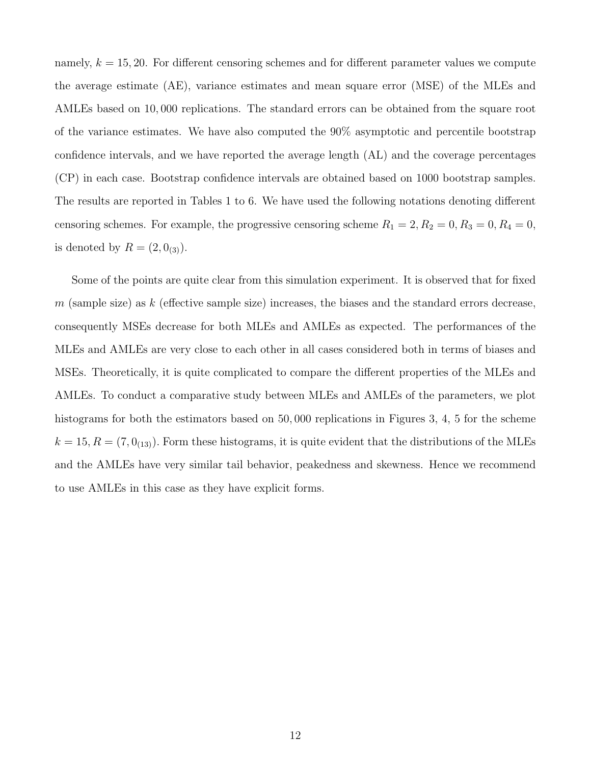namely,  $k = 15, 20$ . For different censoring schemes and for different parameter values we compute the average estimate (AE), variance estimates and mean square error (MSE) of the MLEs and AMLEs based on 10, 000 replications. The standard errors can be obtained from the square root of the variance estimates. We have also computed the 90% asymptotic and percentile bootstrap confidence intervals, and we have reported the average length (AL) and the coverage percentages (CP) in each case. Bootstrap confidence intervals are obtained based on 1000 bootstrap samples. The results are reported in Tables 1 to 6. We have used the following notations denoting different censoring schemes. For example, the progressive censoring scheme  $R_1 = 2, R_2 = 0, R_3 = 0, R_4 = 0,$ is denoted by  $R = (2, 0_{(3)})$ .

Some of the points are quite clear from this simulation experiment. It is observed that for fixed m (sample size) as k (effective sample size) increases, the biases and the standard errors decrease, consequently MSEs decrease for both MLEs and AMLEs as expected. The performances of the MLEs and AMLEs are very close to each other in all cases considered both in terms of biases and MSEs. Theoretically, it is quite complicated to compare the different properties of the MLEs and AMLEs. To conduct a comparative study between MLEs and AMLEs of the parameters, we plot histograms for both the estimators based on 50,000 replications in Figures 3, 4, 5 for the scheme  $k = 15, R = (7, 0<sub>(13)</sub>)$ . Form these histograms, it is quite evident that the distributions of the MLEs and the AMLEs have very similar tail behavior, peakedness and skewness. Hence we recommend to use AMLEs in this case as they have explicit forms.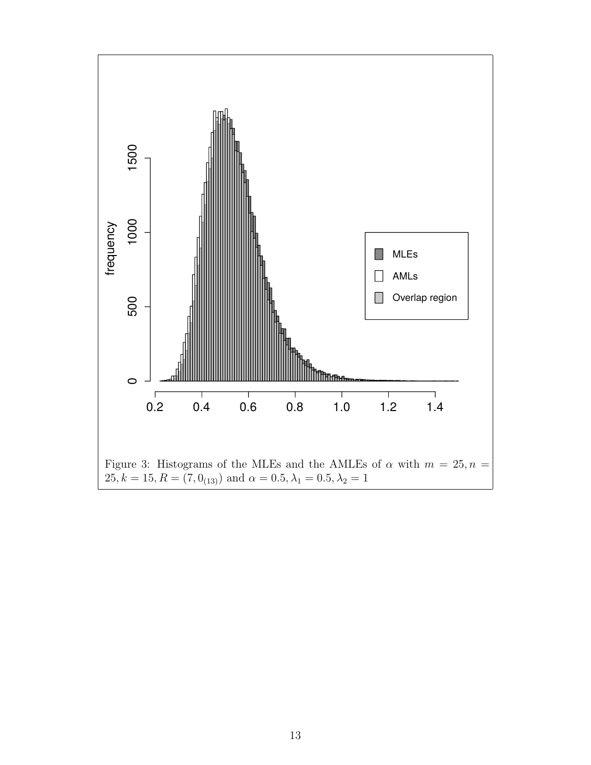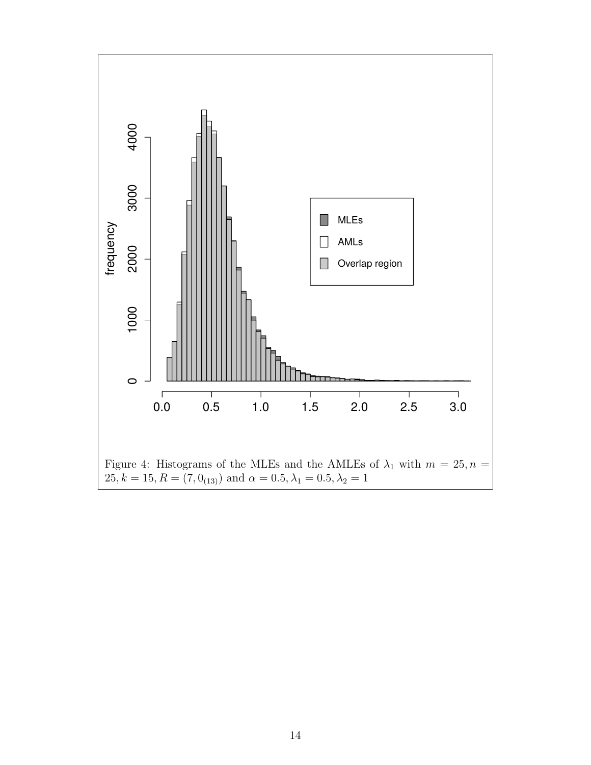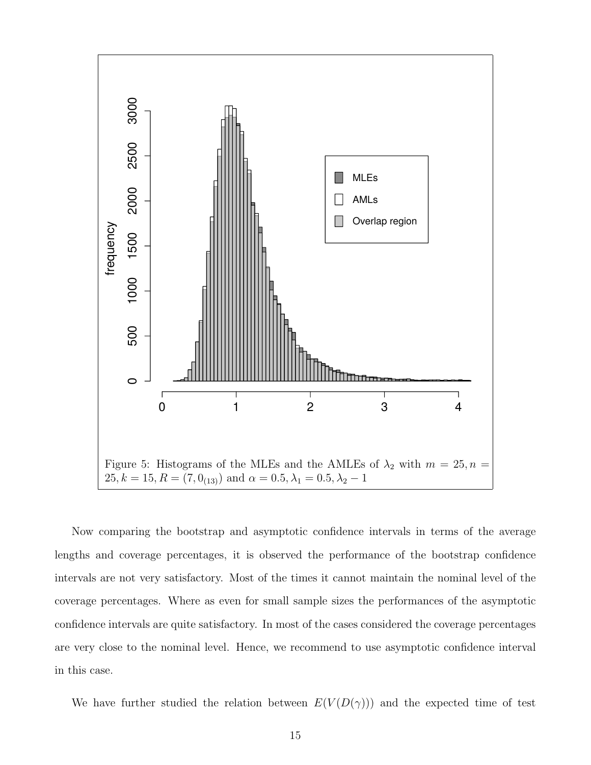

Now comparing the bootstrap and asymptotic confidence intervals in terms of the average lengths and coverage percentages, it is observed the performance of the bootstrap confidence intervals are not very satisfactory. Most of the times it cannot maintain the nominal level of the coverage percentages. Where as even for small sample sizes the performances of the asymptotic confidence intervals are quite satisfactory. In most of the cases considered the coverage percentages are very close to the nominal level. Hence, we recommend to use asymptotic confidence interval in this case.

We have further studied the relation between  $E(V(D(\gamma)))$  and the expected time of test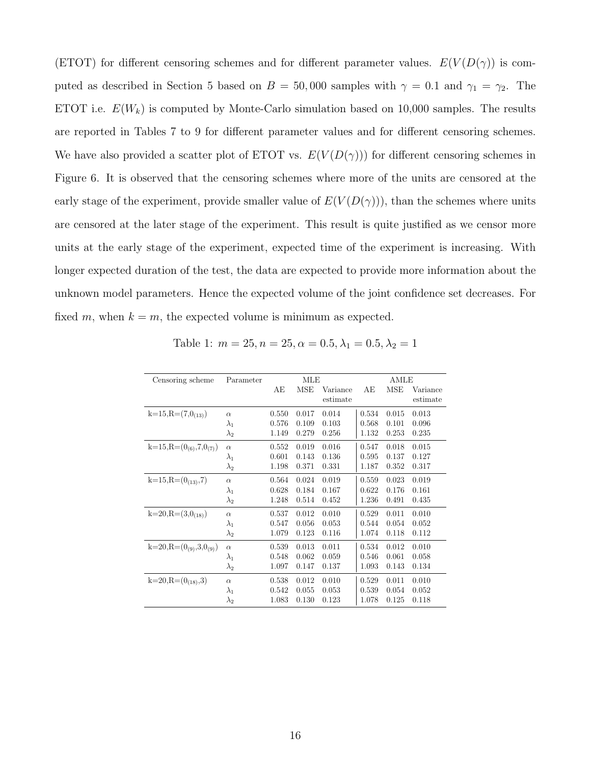(ETOT) for different censoring schemes and for different parameter values.  $E(V(D(\gamma))$  is computed as described in Section 5 based on  $B = 50,000$  samples with  $\gamma = 0.1$  and  $\gamma_1 = \gamma_2$ . The ETOT i.e.  $E(W_k)$  is computed by Monte-Carlo simulation based on 10,000 samples. The results are reported in Tables 7 to 9 for different parameter values and for different censoring schemes. We have also provided a scatter plot of ETOT vs.  $E(V(D(\gamma)))$  for different censoring schemes in Figure 6. It is observed that the censoring schemes where more of the units are censored at the early stage of the experiment, provide smaller value of  $E(V(D(\gamma)))$ , than the schemes where units are censored at the later stage of the experiment. This result is quite justified as we censor more units at the early stage of the experiment, expected time of the experiment is increasing. With longer expected duration of the test, the data are expected to provide more information about the unknown model parameters. Hence the expected volume of the joint confidence set decreases. For fixed m, when  $k = m$ , the expected volume is minimum as expected.

| Censoring scheme                | Parameter   |       | MLE   |          | AMLE  |       |          |
|---------------------------------|-------------|-------|-------|----------|-------|-------|----------|
|                                 |             | AE    | MSE   | Variance | AЕ    | MSE   | Variance |
|                                 |             |       |       | estimate |       |       | estimate |
| $k=15, R=(7,0(13))$             | $\alpha$    | 0.550 | 0.017 | 0.014    | 0.534 | 0.015 | 0.013    |
|                                 | $\lambda_1$ | 0.576 | 0.109 | 0.103    | 0.568 | 0.101 | 0.096    |
|                                 | $\lambda_2$ | 1.149 | 0.279 | 0.256    | 1.132 | 0.253 | 0.235    |
| $k=15, R=(0_{(6)}, 7, 0_{(7)})$ | $\alpha$    | 0.552 | 0.019 | 0.016    | 0.547 | 0.018 | 0.015    |
|                                 | $\lambda_1$ | 0.601 | 0.143 | 0.136    | 0.595 | 0.137 | 0.127    |
|                                 | $\lambda_2$ | 1.198 | 0.371 | 0.331    | 1.187 | 0.352 | 0.317    |
| $k=15, R=(0(13), 7)$            | $\alpha$    | 0.564 | 0.024 | 0.019    | 0.559 | 0.023 | 0.019    |
|                                 | $\lambda_1$ | 0.628 | 0.184 | 0.167    | 0.622 | 0.176 | 0.161    |
|                                 | $\lambda_2$ | 1.248 | 0.514 | 0.452    | 1.236 | 0.491 | 0.435    |
| $k=20, R=(3,0(18))$             | $\alpha$    | 0.537 | 0.012 | 0.010    | 0.529 | 0.011 | 0.010    |
|                                 | $\lambda_1$ | 0.547 | 0.056 | 0.053    | 0.544 | 0.054 | 0.052    |
|                                 | $\lambda_2$ | 1.079 | 0.123 | 0.116    | 1.074 | 0.118 | 0.112    |
| $k=20, R=(0_{(9)}, 3, 0_{(9)})$ | $\alpha$    | 0.539 | 0.013 | 0.011    | 0.534 | 0.012 | 0.010    |
|                                 | $\lambda_1$ | 0.548 | 0.062 | 0.059    | 0.546 | 0.061 | 0.058    |
|                                 | $\lambda_2$ | 1.097 | 0.147 | 0.137    | 1.093 | 0.143 | 0.134    |
| $k=20, R=(0(18), 3)$            | $\alpha$    | 0.538 | 0.012 | 0.010    | 0.529 | 0.011 | 0.010    |
|                                 | $\lambda_1$ | 0.542 | 0.055 | 0.053    | 0.539 | 0.054 | 0.052    |
|                                 | $\lambda_2$ | 1.083 | 0.130 | 0.123    | 1.078 | 0.125 | 0.118    |

Table 1:  $m = 25, n = 25, \alpha = 0.5, \lambda_1 = 0.5, \lambda_2 = 1$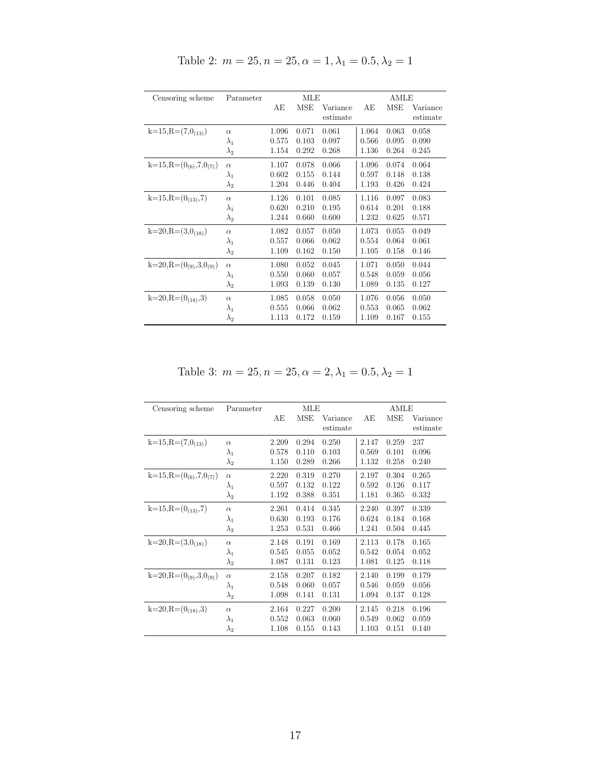| Censoring scheme                | Parameter   |       | MLE        |          | AMLE  |       |          |
|---------------------------------|-------------|-------|------------|----------|-------|-------|----------|
|                                 |             | AE    | <b>MSE</b> | Variance | АE    | MSE   | Variance |
|                                 |             |       |            | estimate |       |       | estimate |
| $k=15, R=(7,0(13))$             | $\alpha$    | 1.096 | 0.071      | 0.061    | 1.064 | 0.063 | 0.058    |
|                                 | $\lambda_1$ | 0.575 | 0.103      | 0.097    | 0.566 | 0.095 | 0.090    |
|                                 | $\lambda_2$ | 1.154 | 0.292      | 0.268    | 1.136 | 0.264 | 0.245    |
| $k=15, R=(0_{(6)}, 7, 0_{(7)})$ | $\alpha$    | 1.107 | 0.078      | 0.066    | 1.096 | 0.074 | 0.064    |
|                                 | $\lambda_1$ | 0.602 | 0.155      | 0.144    | 0.597 | 0.148 | 0.138    |
|                                 | $\lambda_2$ | 1.204 | 0.446      | 0.404    | 1.193 | 0.426 | 0.424    |
| $k=15, R=(0(13), 7)$            | $\alpha$    | 1.126 | 0.101      | 0.085    | 1.116 | 0.097 | 0.083    |
|                                 | $\lambda_1$ | 0.620 | 0.210      | 0.195    | 0.614 | 0.201 | 0.188    |
|                                 | $\lambda_2$ | 1.244 | 0.660      | 0.600    | 1.232 | 0.625 | 0.571    |
| $k=20, R=(3,0_{(18)})$          | $\alpha$    | 1.082 | 0.057      | 0.050    | 1.073 | 0.055 | 0.049    |
|                                 | $\lambda_1$ | 0.557 | 0.066      | 0.062    | 0.554 | 0.064 | 0.061    |
|                                 | $\lambda_2$ | 1.109 | 0.162      | 0.150    | 1.105 | 0.158 | 0.146    |
| $k=20, R=(0_{(9)}, 3, 0_{(9)})$ | $\alpha$    | 1.080 | 0.052      | 0.045    | 1.071 | 0.050 | 0.044    |
|                                 | $\lambda_1$ | 0.550 | 0.060      | 0.057    | 0.548 | 0.059 | 0.056    |
|                                 | $\lambda_2$ | 1.093 | 0.139      | 0.130    | 1.089 | 0.135 | 0.127    |
| $k=20, R=(0_{(18)}, 3)$         | $\alpha$    | 1.085 | 0.058      | 0.050    | 1.076 | 0.056 | 0.050    |
|                                 | $\lambda_1$ | 0.555 | 0.066      | 0.062    | 0.553 | 0.065 | 0.062    |
|                                 | $\lambda_2$ | 1.113 | 0.172      | 0.159    | 1.109 | 0.167 | 0.155    |

Table 2:  $m = 25, n = 25, \alpha = 1, \lambda_1 = 0.5, \lambda_2 = 1$ 

Table 3:  $m = 25, n = 25, \alpha = 2, \lambda_1 = 0.5, \lambda_2 = 1$ 

| Censoring scheme                | Parameter   |       | MLE   |          | AMLE  |       |          |
|---------------------------------|-------------|-------|-------|----------|-------|-------|----------|
|                                 |             | AE    | MSE   | Variance | AE    | MSE   | Variance |
|                                 |             |       |       | estimate |       |       | estimate |
| $k=15, R=(7,0(13))$             | $\alpha$    | 2.209 | 0.294 | 0.250    | 2.147 | 0.259 | 237      |
|                                 | $\lambda_1$ | 0.578 | 0.110 | 0.103    | 0.569 | 0.101 | 0.096    |
|                                 | $\lambda_2$ | 1.150 | 0.289 | 0.266    | 1.132 | 0.258 | 0.240    |
| $k=15, R=(0_{(6)}, 7, 0_{(7)})$ | $\alpha$    | 2.220 | 0.319 | 0.270    | 2.197 | 0.304 | 0.265    |
|                                 | $\lambda_1$ | 0.597 | 0.132 | 0.122    | 0.592 | 0.126 | 0.117    |
|                                 | $\lambda_2$ | 1.192 | 0.388 | 0.351    | 1.181 | 0.365 | 0.332    |
| $k=15, R=(0(13), 7)$            | $\alpha$    | 2.261 | 0.414 | 0.345    | 2.240 | 0.397 | 0.339    |
|                                 | $\lambda_1$ | 0.630 | 0.193 | 0.176    | 0.624 | 0.184 | 0.168    |
|                                 | $\lambda_2$ | 1.253 | 0.531 | 0.466    | 1.241 | 0.504 | 0.445    |
| $k=20, R=(3,0_{(18)})$          | $\alpha$    | 2.148 | 0.191 | 0.169    | 2.113 | 0.178 | 0.165    |
|                                 | $\lambda_1$ | 0.545 | 0.055 | 0.052    | 0.542 | 0.054 | 0.052    |
|                                 | $\lambda_2$ | 1.087 | 0.131 | 0.123    | 1.081 | 0.125 | 0.118    |
| $k=20, R=(0_{(9)}, 3, 0_{(9)})$ | $\alpha$    | 2.158 | 0.207 | 0.182    | 2.140 | 0.199 | 0.179    |
|                                 | $\lambda_1$ | 0.548 | 0.060 | 0.057    | 0.546 | 0.059 | 0.056    |
|                                 | $\lambda_2$ | 1.098 | 0.141 | 0.131    | 1.094 | 0.137 | 0.128    |
| $k=20, R=(0(18), 3)$            | $\alpha$    | 2.164 | 0.227 | 0.200    | 2.145 | 0.218 | 0.196    |
|                                 | $\lambda_1$ | 0.552 | 0.063 | 0.060    | 0.549 | 0.062 | 0.059    |
|                                 | $\lambda_2$ | 1.108 | 0.155 | 0.143    | 1.103 | 0.151 | 0.140    |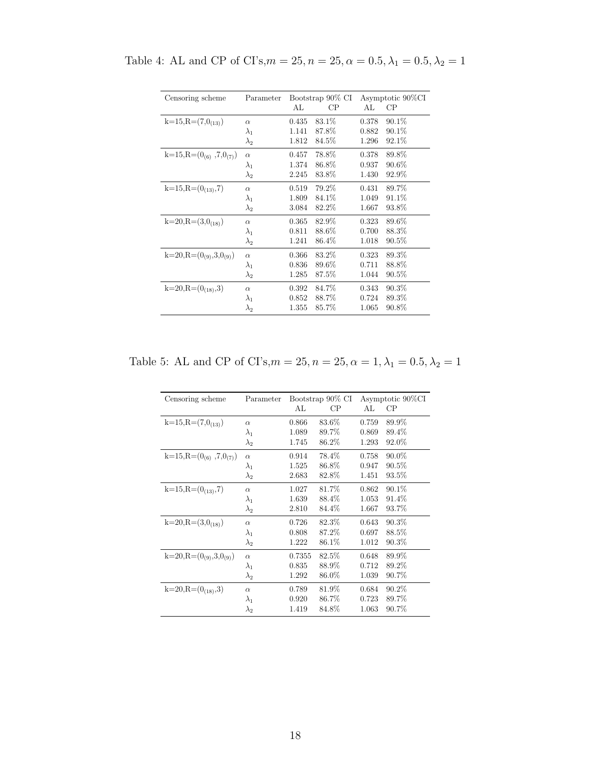| Censoring scheme                | Parameter   |       | Bootstrap 90% CI |       | Asymptotic 90%CI |
|---------------------------------|-------------|-------|------------------|-------|------------------|
|                                 |             | AL    | CP               | AL    | CP               |
| $k=15, R=(7,0(13))$             | $\alpha$    | 0.435 | 83.1\%           | 0.378 | $90.1\%$         |
|                                 | $\lambda_1$ | 1.141 | 87.8%            | 0.882 | $90.1\%$         |
|                                 | $\lambda_2$ | 1.812 | 84.5%            | 1.296 | 92.1\%           |
| $k=15, R=(0_{(6)}, 7, 0_{(7)})$ | $\alpha$    | 0.457 | 78.8%            | 0.378 | 89.8%            |
|                                 | $\lambda_1$ | 1.374 | 86.8%            | 0.937 | $90.6\%$         |
|                                 | $\lambda_2$ | 2.245 | 83.8%            | 1.430 | 92.9%            |
| $k=15, R=(0(13), 7)$            | $\alpha$    | 0.519 | 79.2%            | 0.431 | 89.7%            |
|                                 | $\lambda_1$ | 1.809 | 84.1%            | 1.049 | 91.1\%           |
|                                 | $\lambda_2$ | 3.084 | 82.2%            | 1.667 | 93.8%            |
| $k=20, R=(3,0_{(18)})$          | $\alpha$    | 0.365 | 82.9%            | 0.323 | 89.6%            |
|                                 | $\lambda_1$ | 0.811 | 88.6%            | 0.700 | 88.3%            |
|                                 | $\lambda_2$ | 1.241 | 86.4%            | 1.018 | $90.5\%$         |
| $k=20, R=(0_{(9)}, 3, 0_{(9)})$ | $\alpha$    | 0.366 | 83.2%            | 0.323 | 89.3%            |
|                                 | $\lambda_1$ | 0.836 | 89.6%            | 0.711 | 88.8%            |
|                                 | $\lambda_2$ | 1.285 | 87.5%            | 1.044 | $90.5\%$         |
| $k=20, R=(0(18), 3)$            | $\alpha$    | 0.392 | 84.7%            | 0.343 | $90.3\%$         |
|                                 | $\lambda_1$ | 0.852 | 88.7%            | 0.724 | 89.3%            |
|                                 | $\lambda_2$ | 1.355 | 85.7%            | 1.065 | 90.8%            |

Table 4: AL and CP of CI's, $m=25, n=25, \alpha=0.5, \lambda_1=0.5, \lambda_2=1$ 

Table 5: AL and CP of CI's, $m = 25$ ,  $n = 25$ ,  $\alpha = 1$ ,  $\lambda_1 = 0.5$ ,  $\lambda_2 = 1$ 

| Censoring scheme                | Parameter   |        | Bootstrap 90% CI |       | Asymptotic 90%CI |
|---------------------------------|-------------|--------|------------------|-------|------------------|
|                                 |             | AL     | CP               | AL.   | CP               |
| $k=15, R=(7,0(13))$             | $\alpha$    | 0.866  | 83.6%            | 0.759 | 89.9%            |
|                                 | $\lambda_1$ | 1.089  | 89.7%            | 0.869 | 89.4%            |
|                                 | $\lambda_2$ | 1.745  | 86.2%            | 1.293 | 92.0%            |
| $k=15, R=(0_{(6)}, 7, 0_{(7)})$ | $\alpha$    | 0.914  | 78.4%            | 0.758 | $90.0\%$         |
|                                 | $\lambda_1$ | 1.525  | 86.8%            | 0.947 | $90.5\%$         |
|                                 | $\lambda_2$ | 2.683  | 82.8%            | 1.451 | 93.5%            |
| $k=15, R=(0(13), 7)$            | $\alpha$    | 1.027  | 81.7%            | 0.862 | $90.1\%$         |
|                                 | $\lambda_1$ | 1.639  | 88.4%            | 1.053 | 91.4%            |
|                                 | $\lambda_2$ | 2.810  | 84.4%            | 1.667 | 93.7%            |
| $k=20, R=(3,0(18))$             | $\alpha$    | 0.726  | 82.3%            | 0.643 | 90.3%            |
|                                 | $\lambda_1$ | 0.808  | 87.2%            | 0.697 | 88.5%            |
|                                 | $\lambda_2$ | 1.222  | 86.1\%           | 1.012 | $90.3\%$         |
| $k=20, R=(0_{(9)}, 3, 0_{(9)})$ | $\alpha$    | 0.7355 | 82.5%            | 0.648 | 89.9%            |
|                                 | $\lambda_1$ | 0.835  | 88.9%            | 0.712 | 89.2%            |
|                                 | $\lambda_2$ | 1.292  | 86.0%            | 1.039 | 90.7%            |
| $k=20, R=(0(18), 3)$            | $\alpha$    | 0.789  | 81.9%            | 0.684 | 90.2%            |
|                                 | $\lambda_1$ | 0.920  | 86.7%            | 0.723 | 89.7%            |
|                                 | $\lambda_2$ | 1.419  | 84.8%            | 1.063 | 90.7%            |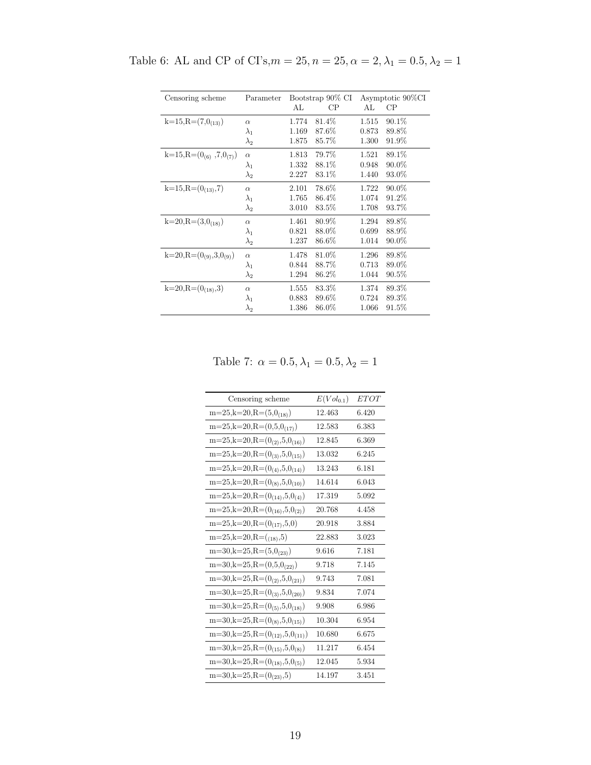| Censoring scheme                | Parameter   |       | Bootstrap 90% CI | Asymptotic 90%CI |          |  |
|---------------------------------|-------------|-------|------------------|------------------|----------|--|
|                                 |             | AL    | CP               | AL               | CP       |  |
|                                 |             |       |                  |                  |          |  |
| $k=15, R=(7,0(13))$             | $\alpha$    | 1.774 | 81.4%            | 1.515            | $90.1\%$ |  |
|                                 | $\lambda_1$ | 1.169 | 87.6%            | 0.873            | 89.8%    |  |
|                                 | $\lambda_2$ | 1.875 | 85.7%            | 1.300            | 91.9%    |  |
|                                 |             | 1.813 | 79.7%            | 1.521            | 89.1%    |  |
| $k=15, R=(0_{(6)}, 7, 0_{(7)})$ | $\alpha$    |       |                  |                  |          |  |
|                                 | $\lambda_1$ | 1.332 | 88.1%            | 0.948            | $90.0\%$ |  |
|                                 | $\lambda_2$ | 2.227 | 83.1\%           | 1.440            | 93.0%    |  |
| $k=15, R=(0(13), 7)$            | $\alpha$    | 2.101 | 78.6%            | 1.722            | $90.0\%$ |  |
|                                 | $\lambda_1$ | 1.765 | 86.4%            | 1.074            | 91.2%    |  |
|                                 | $\lambda_2$ | 3.010 | 83.5%            | 1.708            | 93.7%    |  |
|                                 |             |       |                  |                  |          |  |
| $k=20, R=(3,0(18))$             | $\alpha$    | 1.461 | 80.9%            | 1.294            | 89.8%    |  |
|                                 | $\lambda_1$ | 0.821 | 88.0%            | 0.699            | 88.9%    |  |
|                                 | $\lambda_2$ | 1.237 | 86.6%            | 1.014            | $90.0\%$ |  |
| $k=20, R=(0_{(9)}, 3, 0_{(9)})$ | $\alpha$    | 1.478 | 81.0%            | 1.296            | 89.8%    |  |
|                                 |             |       |                  |                  |          |  |
|                                 | $\lambda_1$ | 0.844 | 88.7%            | 0.713            | 89.0%    |  |
|                                 | $\lambda_2$ | 1.294 | 86.2%            | 1.044            | 90.5%    |  |
| $k=20, R=(0(18), 3)$            | $\alpha$    | 1.555 | 83.3%            | 1.374            | 89.3%    |  |
|                                 | $\lambda_1$ | 0.883 | 89.6%            | 0.724            | 89.3%    |  |
|                                 | $\lambda_2$ | 1.386 | 86.0%            | 1.066            | $91.5\%$ |  |
|                                 |             |       |                  |                  |          |  |

Table 6: AL and CP of CI's, $m=25$ ,  $n=25, \alpha=2, \lambda_1=0.5, \lambda_2=1$ 

Table 7:  $\alpha=0.5, \lambda_1=0.5, \lambda_2=1$ 

| Censoring scheme                        | $E(Vol_{0.1})$ | <b>ETOT</b> |
|-----------------------------------------|----------------|-------------|
| $m=25, k=20, R=(5,0(18))$               | 12.463         | 6.420       |
| $m=25, k=20, R=(0,5,0(17))$             | 12.583         | 6.383       |
| $m=25, k=20, R=(0(2), 5, 0(16))$        | 12.845         | 6.369       |
| $m=25, k=20, R=(0_{(3)}, 5, 0_{(15)})$  | 13.032         | 6.245       |
| $m=25, k=20, R=(0_{(4)}, 5, 0_{(14)})$  | 13.243         | 6.181       |
| $m=25, k=20, R=(0_{(8)}, 5, 0_{(10)})$  | 14.614         | 6.043       |
| $m=25, k=20, R=(0(14), 5, 0(4))$        | 17.319         | 5.092       |
| $m=25, k=20, R=(0(16), 5, 0(2))$        | 20.768         | 4.458       |
| $m=25, k=20, R=(0(17), 5, 0)$           | 20.918         | 3.884       |
| $m=25, k=20, R=(0.85, 5)$               | 22.883         | 3.023       |
| $m=30, k=25, R=(5,0_{(23)})$            | 9.616          | 7.181       |
| $m=30, k=25, R=(0,5,0_{(22)})$          | 9.718          | 7.145       |
| $m=30, k=25, R=(0(2), 5, 0(21))$        | 9.743          | 7.081       |
| $m=30, k=25, R=(0_{(3)}, 5, 0_{(20)})$  | 9.834          | 7.074       |
| $m=30, k=25, R=(0_{(5)}, 5, 0_{(18)})$  | 9.908          | 6.986       |
| $m=30, k=25, R=(0_{(8)}, 5, 0_{(15)})$  | 10.304         | 6.954       |
| $m=30, k=25, R=(0_{(12)}, 5, 0_{(11)})$ | 10.680         | 6.675       |
| $m=30, k=25, R=(0(15), 5, 0(8))$        | 11.217         | 6.454       |
| $m=30, k=25, R=(0(18), 5, 0(5))$        | 12.045         | 5.934       |
| $m=30, k=25, R=(0(23), 5)$              | 14.197         | 3.451       |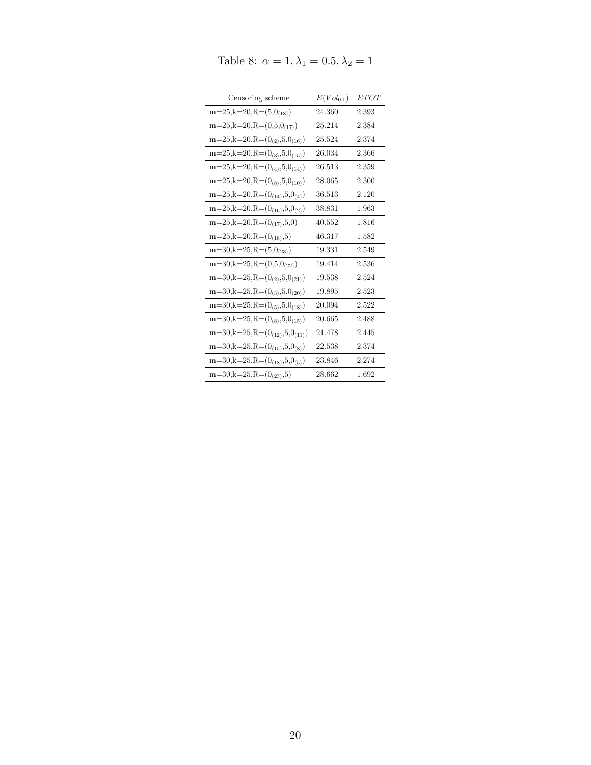| Censoring scheme                        | $E(Vol_{0.1})$ | <i>ETOT</i> |
|-----------------------------------------|----------------|-------------|
| $m=25, k=20, R=(5,0_{(18)})$            | 24.360         | 2.393       |
| $m=25, k=20, R=(0,5,0_{(17)})$          | 25.214         | 2.384       |
| $m=25, k=20, R=(0(2), 5, 0(16))$        | 25.524         | 2.374       |
| $m=25, k=20, R=(0_{(3)}, 5, 0_{(15)})$  | 26.034         | 2.366       |
| $m=25, k=20, R=(0_{(4)}, 5, 0_{(14)})$  | 26.513         | 2.359       |
| $m=25, k=20, R=(0_{(8)}, 5, 0_{(10)})$  | 28.065         | 2.300       |
| $m=25, k=20, R=(0(14), 5, 0(4))$        | 36.513         | 2.120       |
| $m=25, k=20, R=(0(16), 5, 0(2))$        | 38.831         | 1.963       |
| $m=25, k=20, R=(0(17), 5, 0)$           | 40.552         | 1.816       |
| $m=25, k=20, R=(0(18), 5)$              | 46.317         | 1.582       |
| $m=30, k=25, R=(5,0_{(23)})$            | 19.331         | 2.549       |
| $m=30, k=25, R=(0,5,0_{(22)})$          | 19.414         | 2.536       |
| $m=30, k=25, R=(0(2), 5, 0(21))$        | 19.538         | 2.524       |
| $m=30, k=25, R=(0_{(3)}, 5, 0_{(20)})$  | 19.895         | 2.523       |
| $m=30, k=25, R=(0(5), 5, 0(18))$        | 20.094         | 2.522       |
| $m=30, k=25, R=(0_{(8)}, 5, 0_{(15)})$  | 20.665         | 2.488       |
| $m=30, k=25, R=(0_{(12)}, 5, 0_{(11)})$ | 21.478         | 2.445       |
| $m=30, k=25, R=(0(15), 5, 0(8))$        | 22.538         | 2.374       |
| $m=30, k=25, R=(0(18), 5, 0(5))$        | 23.846         | 2.274       |
| $m=30, k=25, R=(0_{(23)}, 5)$           | 28.662         | 1.692       |

Table 8:  $\alpha=1, \lambda_1=0.5, \lambda_2=1$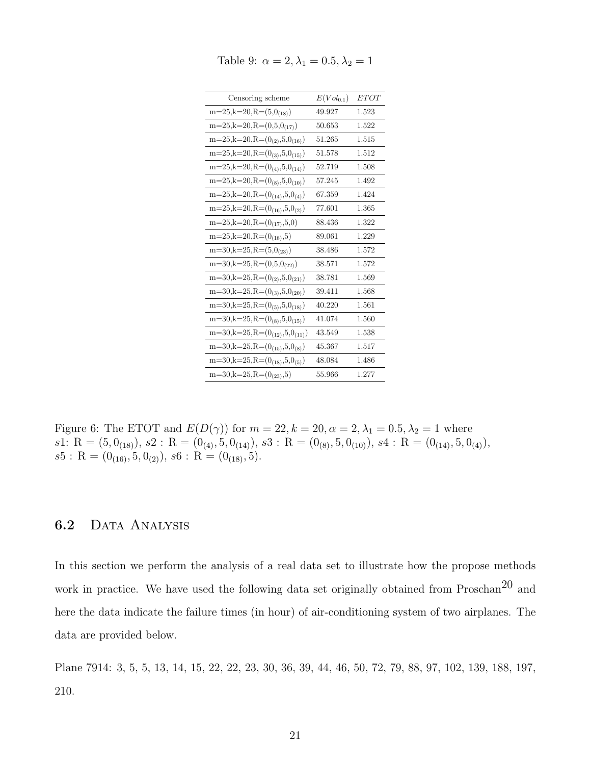| Censoring scheme                        | $E(Vol_{0.1})$ | <i>ETOT</i> |
|-----------------------------------------|----------------|-------------|
| $m=25, k=20, R=(5,0(18))$               | 49.927         | 1.523       |
| $m=25, k=20, R=(0,5,0_{(17)})$          | 50.653         | 1.522       |
| $m=25, k=20, R=(0(2), 5, 0(16))$        | 51.265         | 1.515       |
| $m=25, k=20, R=(0_{(3)}, 5, 0_{(15)})$  | 51.578         | 1.512       |
| $m=25, k=20, R=(0_{(4)}, 5, 0_{(14)})$  | 52.719         | 1.508       |
| $m=25, k=20, R=(0_{(8)}, 5, 0_{(10)})$  | 57.245         | 1.492       |
| $m=25, k=20, R=(0(14), 5, 0(4))$        | 67.359         | 1.424       |
| $m=25, k=20, R=(0(16), 5, 0(2))$        | 77.601         | 1.365       |
| $m=25, k=20, R=(0(17), 5, 0)$           | 88.436         | 1.322       |
| $m=25, k=20, R=(0(18), 5)$              | 89.061         | 1.229       |
| $m=30, k=25, R=(5,0_{(23)})$            | 38.486         | 1.572       |
| $m=30, k=25, R=(0,5,0_{(22)})$          | 38.571         | 1.572       |
| $m=30, k=25, R=(0_{(2)}, 5, 0_{(21)})$  | 38.781         | 1.569       |
| $m=30, k=25, R=(0_{(3)}, 5, 0_{(20)})$  | 39.411         | 1.568       |
| $m=30, k=25, R=(0_{(5)}, 5, 0_{(18)})$  | 40.220         | 1.561       |
| $m=30, k=25, R=(0(8), 5, 0(15))$        | 41.074         | 1.560       |
| $m=30, k=25, R=(0_{(12)}, 5, 0_{(11)})$ | 43.549         | 1.538       |
| $m=30, k=25, R=(0(15), 5, 0(8))$        | 45.367         | 1.517       |
| $m=30, k=25, R=(0(18), 5, 0(5))$        | 48.084         | 1.486       |
| $m=30, k=25, R=(0_{(23)}, 5)$           | 55.966         | 1.277       |

Table 9:  $\alpha = 2, \lambda_1 = 0.5, \lambda_2 = 1$ 

Figure 6: The ETOT and  $E(D(\gamma))$  for  $m = 22, k = 20, \alpha = 2, \lambda_1 = 0.5, \lambda_2 = 1$  where s1: R =  $(5, 0_{(18)})$ , s2 : R =  $(0_{(4)}, 5, 0_{(14)})$ , s3 : R =  $(0_{(8)}, 5, 0_{(10)})$ , s4 : R =  $(0_{(14)}, 5, 0_{(4)})$ ,  $s5: R = (0_{(16)}, 5, 0_{(2)}), s6: R = (0_{(18)}, 5).$ 

### 6.2 DATA ANALYSIS

In this section we perform the analysis of a real data set to illustrate how the propose methods work in practice. We have used the following data set originally obtained from Proschan<sup>20</sup> and here the data indicate the failure times (in hour) of air-conditioning system of two airplanes. The data are provided below.

Plane 7914: 3, 5, 5, 13, 14, 15, 22, 22, 23, 30, 36, 39, 44, 46, 50, 72, 79, 88, 97, 102, 139, 188, 197, 210.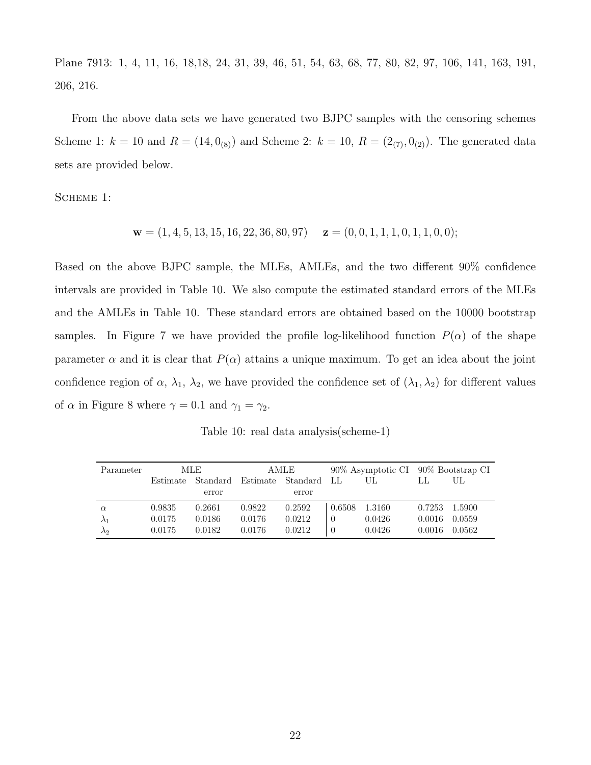Plane 7913: 1, 4, 11, 16, 18,18, 24, 31, 39, 46, 51, 54, 63, 68, 77, 80, 82, 97, 106, 141, 163, 191, 206, 216.

From the above data sets we have generated two BJPC samples with the censoring schemes Scheme 1:  $k = 10$  and  $R = (14, 0_{(8)})$  and Scheme 2:  $k = 10$ ,  $R = (2_{(7)}, 0_{(2)})$ . The generated data sets are provided below.

SCHEME 1:

$$
\mathbf{w} = (1, 4, 5, 13, 15, 16, 22, 36, 80, 97) \quad \mathbf{z} = (0, 0, 1, 1, 1, 0, 1, 1, 0, 0);
$$

Based on the above BJPC sample, the MLEs, AMLEs, and the two different 90% confidence intervals are provided in Table 10. We also compute the estimated standard errors of the MLEs and the AMLEs in Table 10. These standard errors are obtained based on the 10000 bootstrap samples. In Figure 7 we have provided the profile log-likelihood function  $P(\alpha)$  of the shape parameter  $\alpha$  and it is clear that  $P(\alpha)$  attains a unique maximum. To get an idea about the joint confidence region of  $\alpha$ ,  $\lambda_1$ ,  $\lambda_2$ , we have provided the confidence set of  $(\lambda_1, \lambda_2)$  for different values of  $\alpha$  in Figure 8 where  $\gamma = 0.1$  and  $\gamma_1 = \gamma_2$ .

Table 10: real data analysis(scheme-1)

| Parameter   | MLE      |        | AMLE   |                               | 90% Asymptotic CI 90% Bootstrap CI |        |        |        |
|-------------|----------|--------|--------|-------------------------------|------------------------------------|--------|--------|--------|
|             | Estimate |        |        | Standard Estimate Standard LL | UЬ                                 |        |        | UL     |
|             |          | error  |        | error                         |                                    |        |        |        |
| $\alpha$    | 0.9835   | 0.2661 | 0.9822 | 0.2592                        | 0.6508                             | 1.3160 | 0.7253 | 1.5900 |
| $\lambda_1$ | 0.0175   | 0.0186 | 0.0176 | 0.0212                        | 0                                  | 0.0426 | 0.0016 | 0.0559 |
| $\lambda_2$ | 0.0175   | 0.0182 | 0.0176 | 0.0212                        | $\theta$                           | 0.0426 | 0.0016 | 0.0562 |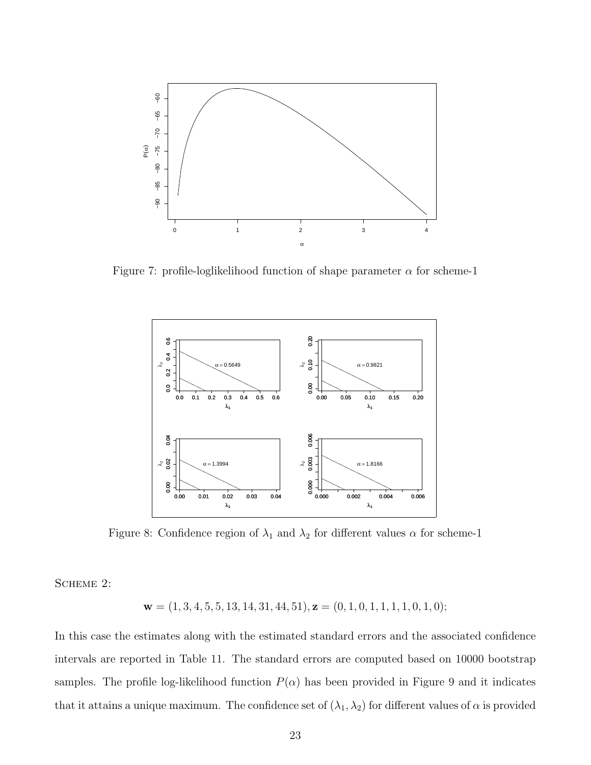

Figure 7: profile-loglikelihood function of shape parameter  $\alpha$  for scheme-1



Figure 8: Confidence region of  $\lambda_1$  and  $\lambda_2$  for different values  $\alpha$  for scheme-1

SCHEME 2:

 $\mathbf{w} = (1, 3, 4, 5, 5, 13, 14, 31, 44, 51), \mathbf{z} = (0, 1, 0, 1, 1, 1, 1, 0, 1, 0);$ 

In this case the estimates along with the estimated standard errors and the associated confidence intervals are reported in Table 11. The standard errors are computed based on 10000 bootstrap samples. The profile log-likelihood function  $P(\alpha)$  has been provided in Figure 9 and it indicates that it attains a unique maximum. The confidence set of  $(\lambda_1, \lambda_2)$  for different values of  $\alpha$  is provided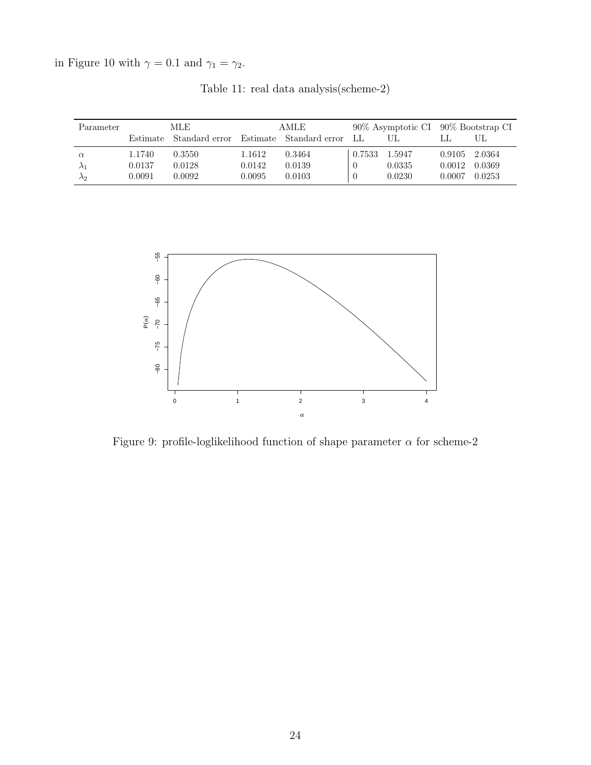in Figure 10 with  $\gamma=0.1$  and  $\gamma_1=\gamma_2.$ 

| Parameter   | MLE    |                         | AMLE   |                         |                |        | 90% Asymptotic CI 90% Bootstrap CI |        |
|-------------|--------|-------------------------|--------|-------------------------|----------------|--------|------------------------------------|--------|
|             |        | Estimate Standard error |        | Estimate Standard error | -LL            |        |                                    | UL     |
| $\alpha$    | 1.1740 | 0.3550                  | 1.1612 | 0.3464                  | 0.7533         | 1.5947 | 0.9105                             | 2.0364 |
| $\lambda_1$ | 0.0137 | 0.0128                  | 0.0142 | 0.0139                  |                | 0.0335 | 0.0012                             | 0.0369 |
| $\lambda_2$ | 0.0091 | 0.0092                  | 0.0095 | 0.0103                  | $\overline{0}$ | 0.0230 | 0.0007                             | 0.0253 |

Table 11: real data analysis(scheme-2)



Figure 9: profile-loglikelihood function of shape parameter  $\alpha$  for scheme-2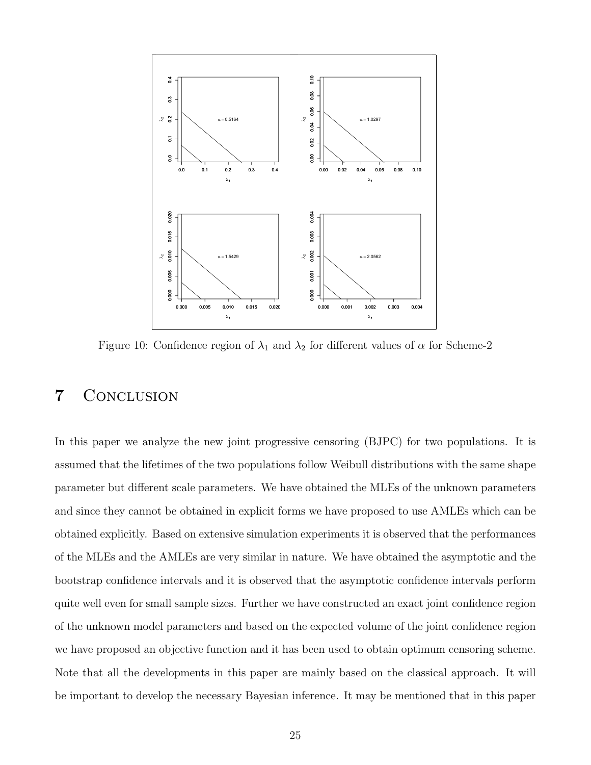

Figure 10: Confidence region of  $\lambda_1$  and  $\lambda_2$  for different values of  $\alpha$  for Scheme-2

## 7 Conclusion

In this paper we analyze the new joint progressive censoring (BJPC) for two populations. It is assumed that the lifetimes of the two populations follow Weibull distributions with the same shape parameter but different scale parameters. We have obtained the MLEs of the unknown parameters and since they cannot be obtained in explicit forms we have proposed to use AMLEs which can be obtained explicitly. Based on extensive simulation experiments it is observed that the performances of the MLEs and the AMLEs are very similar in nature. We have obtained the asymptotic and the bootstrap confidence intervals and it is observed that the asymptotic confidence intervals perform quite well even for small sample sizes. Further we have constructed an exact joint confidence region of the unknown model parameters and based on the expected volume of the joint confidence region we have proposed an objective function and it has been used to obtain optimum censoring scheme. Note that all the developments in this paper are mainly based on the classical approach. It will be important to develop the necessary Bayesian inference. It may be mentioned that in this paper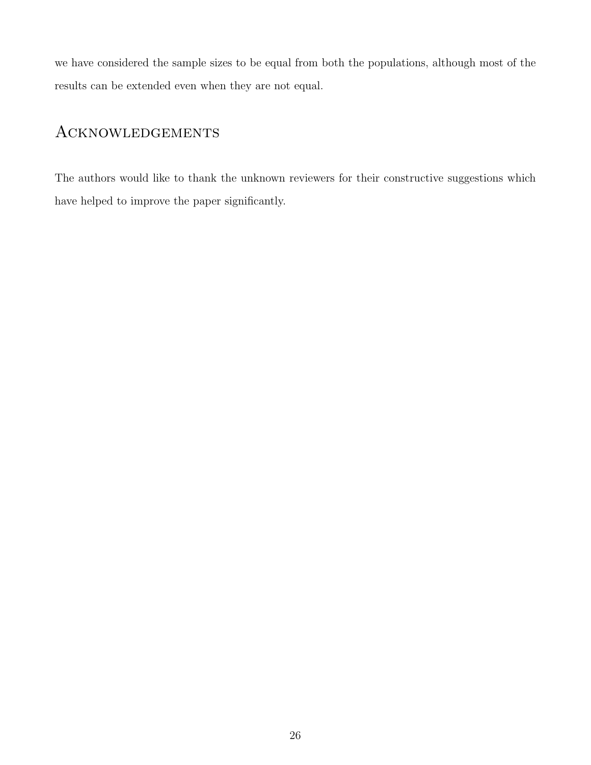we have considered the sample sizes to be equal from both the populations, although most of the results can be extended even when they are not equal.

# Acknowledgements

The authors would like to thank the unknown reviewers for their constructive suggestions which have helped to improve the paper significantly.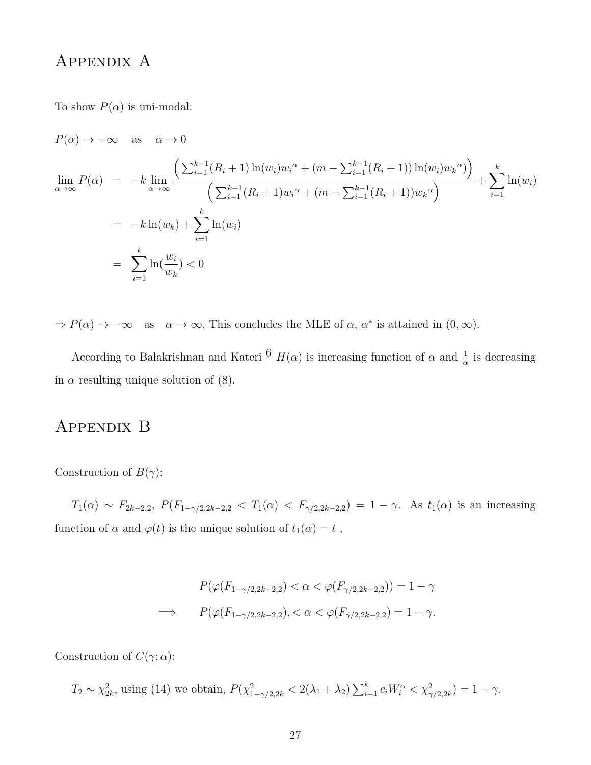# Appendix A

To show  $P(\alpha)$  is uni-modal:

$$
P(\alpha) \to -\infty \quad \text{as} \quad \alpha \to 0
$$
  
\n
$$
\lim_{\alpha \to \infty} P(\alpha) = -k \lim_{\alpha \to \infty} \frac{\left(\sum_{i=1}^{k-1} (R_i + 1) \ln(w_i) w_i^{\alpha} + (m - \sum_{i=1}^{k-1} (R_i + 1)) \ln(w_i) w_k^{\alpha}\right)}{\left(\sum_{i=1}^{k-1} (R_i + 1) w_i^{\alpha} + (m - \sum_{i=1}^{k-1} (R_i + 1)) w_k^{\alpha}\right)} + \sum_{i=1}^{k} \ln(w_i)
$$
  
\n
$$
= -k \ln(w_k) + \sum_{i=1}^{k} \ln(w_i)
$$
  
\n
$$
= \sum_{i=1}^{k} \ln(\frac{w_i}{w_k}) < 0
$$

 $\Rightarrow P(\alpha) \to -\infty$  as  $\alpha \to \infty$ . This concludes the MLE of  $\alpha$ ,  $\alpha^*$  is attained in  $(0, \infty)$ .

According to Balakrishnan and Kateri  $6$   $H(\alpha)$  is increasing function of  $\alpha$  and  $\frac{1}{\alpha}$  is decreasing in  $\alpha$  resulting unique solution of (8).

### Appendix B

Construction of  $B(\gamma)$ :

 $T_1(\alpha) \sim F_{2k-2,2}, P(F_{1-\gamma/2,2k-2,2} < T_1(\alpha) < F_{\gamma/2,2k-2,2}) = 1 - \gamma.$  As  $t_1(\alpha)$  is an increasing function of  $\alpha$  and  $\varphi(t)$  is the unique solution of  $t_1(\alpha) = t$ ,

$$
P(\varphi(F_{1-\gamma/2,2k-2,2}) < \alpha < \varphi(F_{\gamma/2,2k-2,2})) = 1 - \gamma
$$
\n
$$
\implies \qquad P(\varphi(F_{1-\gamma/2,2k-2,2}), < \alpha < \varphi(F_{\gamma/2,2k-2,2}) = 1 - \gamma.
$$

Construction of  $C(\gamma; \alpha)$ :

 $T_2 \sim \chi^2_{2k}$ , using (14) we obtain,  $P(\chi^2_{1-\gamma/2,2k} < 2(\lambda_1 + \lambda_2) \sum_{i=1}^k c_i W_i^{\alpha} < \chi^2_{\gamma/2,2k}) = 1 - \gamma$ .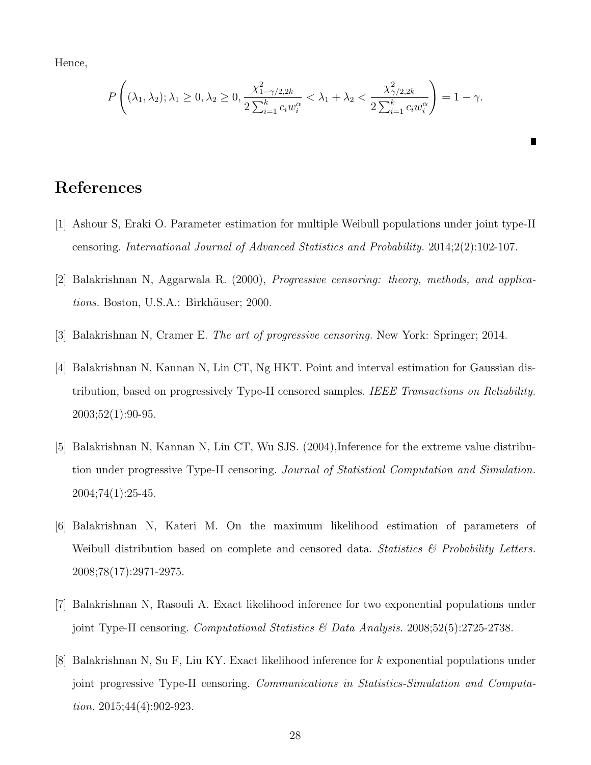Hence,

$$
P\left((\lambda_1, \lambda_2); \lambda_1 \ge 0, \lambda_2 \ge 0, \frac{\chi^2_{1-\gamma/2, 2k}}{2\sum_{i=1}^k c_i w_i^{\alpha}} < \lambda_1 + \lambda_2 < \frac{\chi^2_{\gamma/2, 2k}}{2\sum_{i=1}^k c_i w_i^{\alpha}}\right) = 1 - \gamma.
$$

 $\blacksquare$ 

## References

- [1] Ashour S, Eraki O. Parameter estimation for multiple Weibull populations under joint type-II censoring. International Journal of Advanced Statistics and Probability. 2014;2(2):102-107.
- [2] Balakrishnan N, Aggarwala R. (2000), Progressive censoring: theory, methods, and applications. Boston, U.S.A.: Birkhäuser; 2000.
- [3] Balakrishnan N, Cramer E. The art of progressive censoring. New York: Springer; 2014.
- [4] Balakrishnan N, Kannan N, Lin CT, Ng HKT. Point and interval estimation for Gaussian distribution, based on progressively Type-II censored samples. IEEE Transactions on Reliability. 2003;52(1):90-95.
- [5] Balakrishnan N, Kannan N, Lin CT, Wu SJS. (2004), Inference for the extreme value distribution under progressive Type-II censoring. Journal of Statistical Computation and Simulation. 2004;74(1):25-45.
- [6] Balakrishnan N, Kateri M. On the maximum likelihood estimation of parameters of Weibull distribution based on complete and censored data. Statistics  $\mathcal{B}$  Probability Letters. 2008;78(17):2971-2975.
- [7] Balakrishnan N, Rasouli A. Exact likelihood inference for two exponential populations under joint Type-II censoring. Computational Statistics & Data Analysis. 2008;52(5):2725-2738.
- [8] Balakrishnan N, Su F, Liu KY. Exact likelihood inference for k exponential populations under joint progressive Type-II censoring. Communications in Statistics-Simulation and Computation. 2015;44(4):902-923.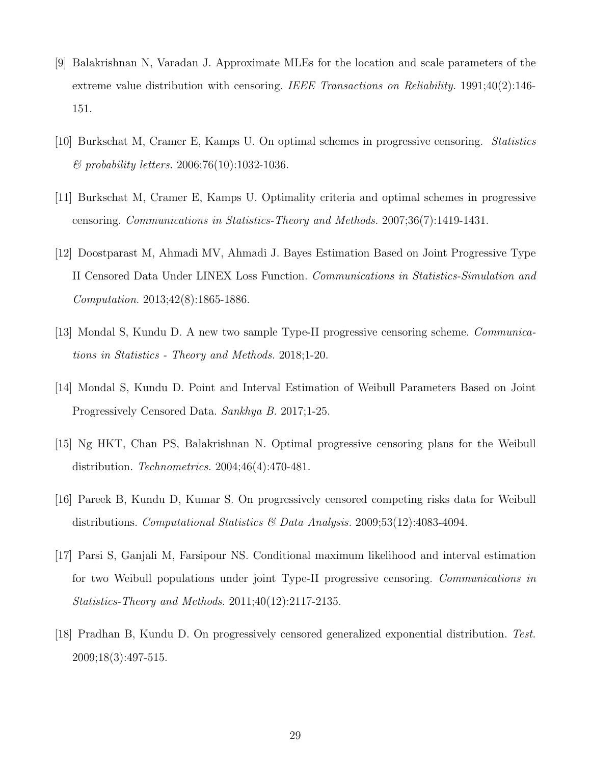- [9] Balakrishnan N, Varadan J. Approximate MLEs for the location and scale parameters of the extreme value distribution with censoring. IEEE Transactions on Reliability. 1991;40(2):146-151.
- [10] Burkschat M, Cramer E, Kamps U. On optimal schemes in progressive censoring. Statistics  $&$  probability letters. 2006;76(10):1032-1036.
- [11] Burkschat M, Cramer E, Kamps U. Optimality criteria and optimal schemes in progressive censoring. Communications in Statistics-Theory and Methods. 2007;36(7):1419-1431.
- [12] Doostparast M, Ahmadi MV, Ahmadi J. Bayes Estimation Based on Joint Progressive Type II Censored Data Under LINEX Loss Function. Communications in Statistics-Simulation and Computation. 2013;42(8):1865-1886.
- [13] Mondal S, Kundu D. A new two sample Type-II progressive censoring scheme. Communications in Statistics - Theory and Methods. 2018;1-20.
- [14] Mondal S, Kundu D. Point and Interval Estimation of Weibull Parameters Based on Joint Progressively Censored Data. Sankhya B. 2017;1-25.
- [15] Ng HKT, Chan PS, Balakrishnan N. Optimal progressive censoring plans for the Weibull distribution. Technometrics. 2004;46(4):470-481.
- [16] Pareek B, Kundu D, Kumar S. On progressively censored competing risks data for Weibull distributions. Computational Statistics  $\mathcal B$  Data Analysis. 2009:53(12):4083-4094.
- [17] Parsi S, Ganjali M, Farsipour NS. Conditional maximum likelihood and interval estimation for two Weibull populations under joint Type-II progressive censoring. Communications in Statistics-Theory and Methods. 2011;40(12):2117-2135.
- [18] Pradhan B, Kundu D. On progressively censored generalized exponential distribution. Test. 2009;18(3):497-515.